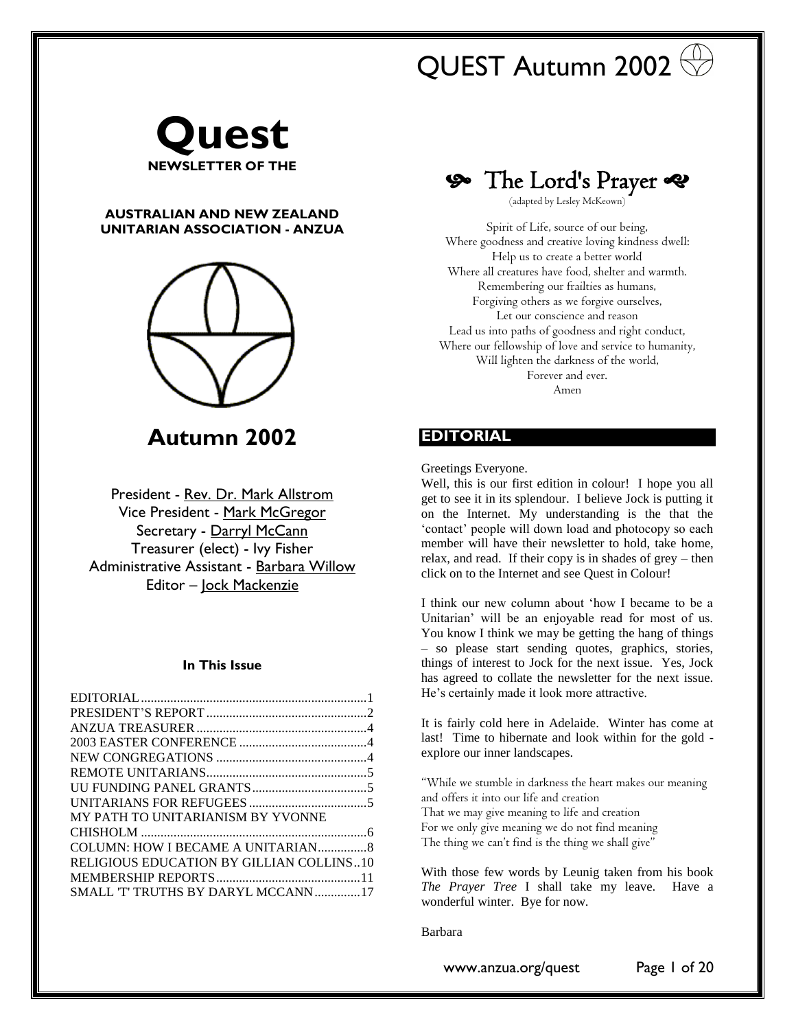# QUEST Autumn 2002



### **AUSTRALIAN AND NEW ZEALAND UNITARIAN ASSOCIATION - ANZUA**



**Autumn 2002**

President - [Rev. Dr. Mark Allstrom](mailto:unitariansa@picknowl.com.au) Vice President - [Mark McGregor](mailto:sydneyunitarians@mail2me.com.au) Secretary - [Darryl McCann](mailto:mcforbes@yahoo.com) Treasurer (elect) - Ivy Fisher Administrative Assistant - [Barbara Willow](mailto:bwillow@esc.net.au) Editor – [Jock Mackenzie](mailto:jockmackenzie@yahoo.com.au)

### **In This Issue**

| MY PATH TO UNITARIANISM BY YVONNE        |  |
|------------------------------------------|--|
|                                          |  |
|                                          |  |
| RELIGIOUS EDUCATION BY GILLIAN COLLINS10 |  |
|                                          |  |
| SMALL 'T' TRUTHS BY DARYL MCCANN17       |  |

The Lord's Prayer

(adapted by Lesley McKeown)

Spirit of Life, source of our being, Where goodness and creative loving kindness dwell: Help us to create a better world Where all creatures have food, shelter and warmth. Remembering our frailties as humans, Forgiving others as we forgive ourselves, Let our conscience and reason Lead us into paths of goodness and right conduct, Where our fellowship of love and service to humanity, Will lighten the darkness of the world, Forever and ever. Amen

### <span id="page-0-0"></span>**EDITORIAL**

Greetings Everyone.

Well, this is our first edition in colour! I hope you all get to see it in its splendour. I believe Jock is putting it on the Internet. My understanding is the that the 'contact' people will down load and photocopy so each member will have their newsletter to hold, take home, relax, and read. If their copy is in shades of grey – then click on to the Internet and see Quest in Colour!

I think our new column about 'how I became to be a Unitarian' will be an enjoyable read for most of us. You know I think we may be getting the hang of things – so please start sending quotes, graphics, stories, things of interest to Jock for the next issue. Yes, Jock has agreed to collate the newsletter for the next issue. He's certainly made it look more attractive.

It is fairly cold here in Adelaide. Winter has come at last! Time to hibernate and look within for the gold explore our inner landscapes.

"While we stumble in darkness the heart makes our meaning and offers it into our life and creation That we may give meaning to life and creation For we only give meaning we do not find meaning The thing we can't find is the thing we shall give"

With those few words by Leunig taken from his book *The Prayer Tree* I shall take my leave. Have a wonderful winter. Bye for now.

Barbara

www.anzua.org/quest Page 1 of 20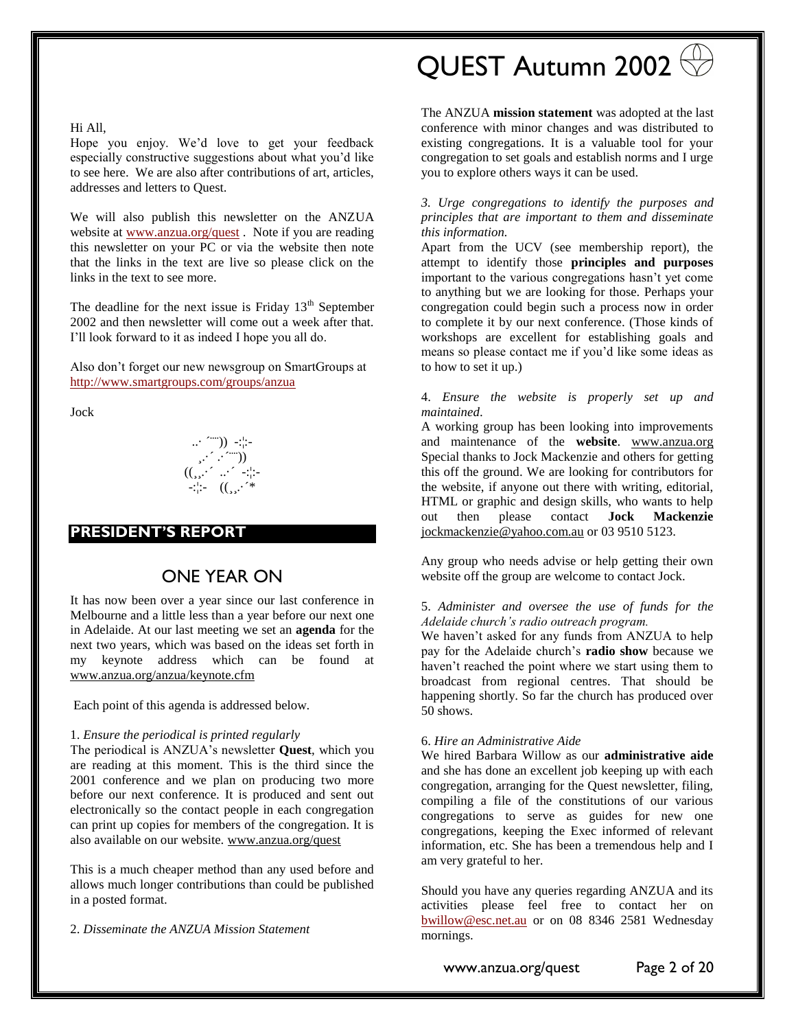#### Hi All,

Hope you enjoy. We'd love to get your feedback especially constructive suggestions about what you'd like to see here. We are also after contributions of art, articles, addresses and letters to Quest.

We will also publish this newsletter on the ANZUA website at [www.anzua.org/quest](http://www.anzua.org/quest) . Note if you are reading this newsletter on your PC or via the website then note that the links in the text are live so please click on the links in the text to see more.

The deadline for the next issue is Friday  $13<sup>th</sup>$  September 2002 and then newsletter will come out a week after that. I'll look forward to it as indeed I hope you all do.

Also don't forget our new newsgroup on SmartGroups at <http://www.smartgroups.com/groups/anzua>

Jock

..· ´¨¨)) -:¦:- ¸.·´ .·´¨¨)) ((¸¸.·´ ..·´ -:¦:- -:¦:- ((¸¸.·´\*

### <span id="page-1-0"></span>**PRESIDENT'S REPORT**

## ONE YEAR ON

It has now been over a year since our last conference in Melbourne and a little less than a year before our next one in Adelaide. At our last meeting we set an **agenda** for the next two years, which was based on the ideas set forth in my keynote address which can be found at [www.anzua.org/anzua/keynote.cfm](http://www.anzua.org/anzua/keynote.cfm)

Each point of this agenda is addressed below.

#### 1. *Ensure the periodical is printed regularly*

The periodical is ANZUA's newsletter **Quest**, which you are reading at this moment. This is the third since the 2001 conference and we plan on producing two more before our next conference. It is produced and sent out electronically so the contact people in each congregation can print up copies for members of the congregation. It is also available on our website. [www.anzua.org/quest](http://www.anzua.org/quest)

This is a much cheaper method than any used before and allows much longer contributions than could be published in a posted format.

2. *Disseminate the ANZUA Mission Statement*

# QUEST Autumn 2002

The ANZUA **mission statement** was adopted at the last conference with minor changes and was distributed to existing congregations. It is a valuable tool for your congregation to set goals and establish norms and I urge you to explore others ways it can be used.

#### *3. Urge congregations to identify the purposes and principles that are important to them and disseminate this information.*

Apart from the UCV (see membership report), the attempt to identify those **principles and purposes** important to the various congregations hasn't yet come to anything but we are looking for those. Perhaps your congregation could begin such a process now in order to complete it by our next conference. (Those kinds of workshops are excellent for establishing goals and means so please contact me if you'd like some ideas as to how to set it up.)

#### 4. *Ensure the website is properly set up and maintained*.

A working group has been looking into improvements and maintenance of the **website**. [www.anzua.org](http://www.anzua.org/) Special thanks to Jock Mackenzie and others for getting this off the ground. We are looking for contributors for the website, if anyone out there with writing, editorial, HTML or graphic and design skills, who wants to help out then please contact **Jock Mackenzie** [jockmackenzie@yahoo.com.au](mailto:jockmackenzie@yahoo.com.au) or 03 9510 5123.

Any group who needs advise or help getting their own website off the group are welcome to contact Jock.

#### 5. *Administer and oversee the use of funds for the Adelaide church's radio outreach program.*

We haven't asked for any funds from ANZUA to help pay for the Adelaide church's **radio show** because we haven't reached the point where we start using them to broadcast from regional centres. That should be happening shortly. So far the church has produced over 50 shows.

#### 6. *Hire an Administrative Aide*

We hired Barbara Willow as our **administrative aide** and she has done an excellent job keeping up with each congregation, arranging for the Quest newsletter, filing, compiling a file of the constitutions of our various congregations to serve as guides for new one congregations, keeping the Exec informed of relevant information, etc. She has been a tremendous help and I am very grateful to her.

Should you have any queries regarding ANZUA and its activities please feel free to contact her on <bwillow@esc.net.au> or on 08 8346 2581 Wednesday mornings.

www.anzua.org/quest Page 2 of 20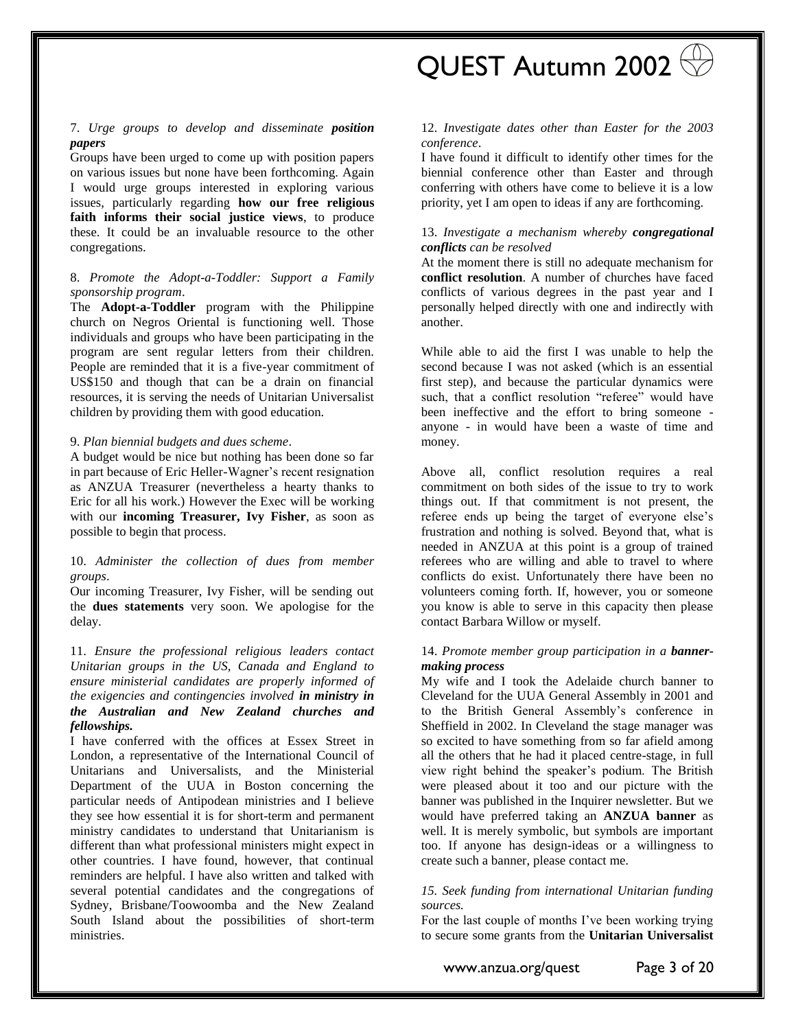QUEST Autumn 2002

#### 7. *Urge groups to develop and disseminate position papers*

Groups have been urged to come up with position papers on various issues but none have been forthcoming. Again I would urge groups interested in exploring various issues, particularly regarding **how our free religious faith informs their social justice views**, to produce these. It could be an invaluable resource to the other congregations.

#### 8. *Promote the Adopt-a-Toddler: Support a Family sponsorship program*.

The **Adopt-a-Toddler** program with the Philippine church on Negros Oriental is functioning well. Those individuals and groups who have been participating in the program are sent regular letters from their children. People are reminded that it is a five-year commitment of US\$150 and though that can be a drain on financial resources, it is serving the needs of Unitarian Universalist children by providing them with good education.

#### 9. *Plan biennial budgets and dues scheme*.

A budget would be nice but nothing has been done so far in part because of Eric Heller-Wagner's recent resignation as ANZUA Treasurer (nevertheless a hearty thanks to Eric for all his work.) However the Exec will be working with our **incoming Treasurer, Ivy Fisher**, as soon as possible to begin that process.

#### 10. *Administer the collection of dues from member groups*.

Our incoming Treasurer, Ivy Fisher, will be sending out the **dues statements** very soon. We apologise for the delay.

#### 11. *Ensure the professional religious leaders contact Unitarian groups in the US, Canada and England to ensure ministerial candidates are properly informed of the exigencies and contingencies involved in ministry in the Australian and New Zealand churches and fellowships.*

I have conferred with the offices at Essex Street in London, a representative of the International Council of Unitarians and Universalists, and the Ministerial Department of the UUA in Boston concerning the particular needs of Antipodean ministries and I believe they see how essential it is for short-term and permanent ministry candidates to understand that Unitarianism is different than what professional ministers might expect in other countries. I have found, however, that continual reminders are helpful. I have also written and talked with several potential candidates and the congregations of Sydney, Brisbane/Toowoomba and the New Zealand South Island about the possibilities of short-term ministries.

#### 12. *Investigate dates other than Easter for the 2003 conference*.

I have found it difficult to identify other times for the biennial conference other than Easter and through conferring with others have come to believe it is a low priority, yet I am open to ideas if any are forthcoming.

#### 13. *Investigate a mechanism whereby congregational conflicts can be resolved*

At the moment there is still no adequate mechanism for **conflict resolution**. A number of churches have faced conflicts of various degrees in the past year and I personally helped directly with one and indirectly with another.

While able to aid the first I was unable to help the second because I was not asked (which is an essential first step), and because the particular dynamics were such, that a conflict resolution "referee" would have been ineffective and the effort to bring someone anyone - in would have been a waste of time and money.

Above all, conflict resolution requires a real commitment on both sides of the issue to try to work things out. If that commitment is not present, the referee ends up being the target of everyone else's frustration and nothing is solved. Beyond that, what is needed in ANZUA at this point is a group of trained referees who are willing and able to travel to where conflicts do exist. Unfortunately there have been no volunteers coming forth. If, however, you or someone you know is able to serve in this capacity then please contact Barbara Willow or myself.

#### 14. *Promote member group participation in a bannermaking process*

My wife and I took the Adelaide church banner to Cleveland for the UUA General Assembly in 2001 and to the British General Assembly's conference in Sheffield in 2002. In Cleveland the stage manager was so excited to have something from so far afield among all the others that he had it placed centre-stage, in full view right behind the speaker's podium. The British were pleased about it too and our picture with the banner was published in the Inquirer newsletter. But we would have preferred taking an **ANZUA banner** as well. It is merely symbolic, but symbols are important too. If anyone has design-ideas or a willingness to create such a banner, please contact me.

#### *15. Seek funding from international Unitarian funding sources.*

For the last couple of months I've been working trying to secure some grants from the **Unitarian Universalist** 

www.anzua.org/quest Page 3 of 20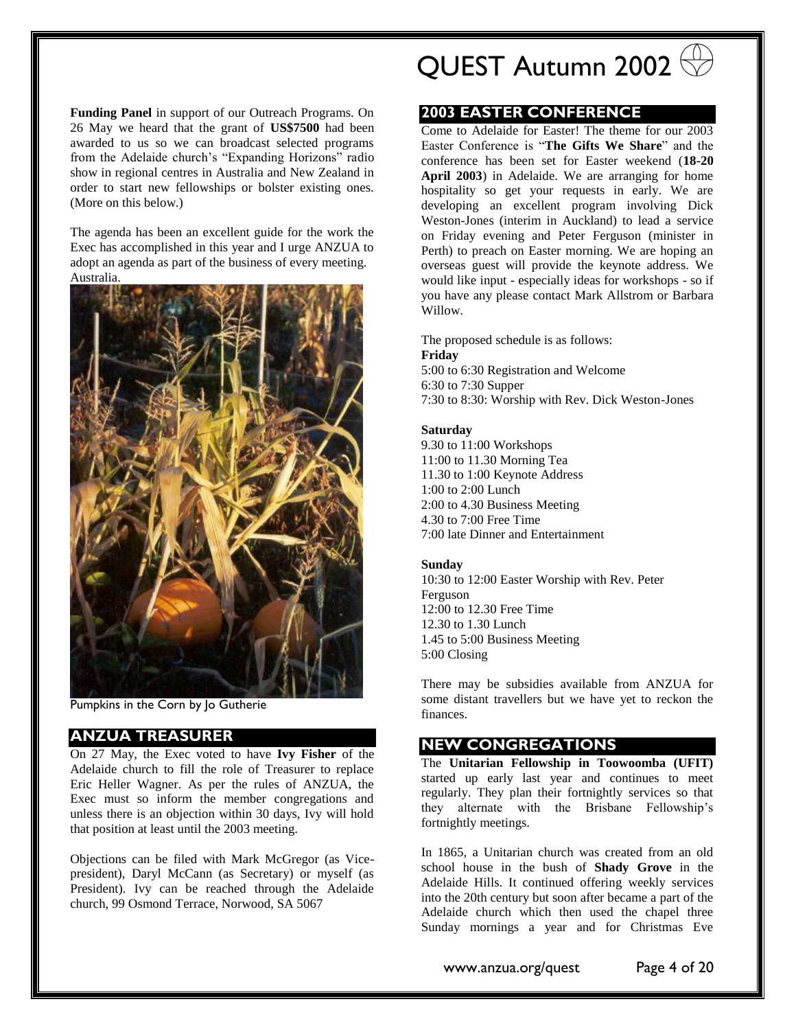**Funding Panel** in support of our Outreach Programs. On 26 May we heard that the grant of **US\$7500** had been awarded to us so we can broadcast selected programs from the Adelaide church's "Expanding Horizons" radio show in regional centres in Australia and New Zealand in order to start new fellowships or bolster existing ones. (More on this below.)

The agenda has been an excellent guide for the work the Exec has accomplished in this year and I urge ANZUA to adopt an agenda as part of the business of every meeting. Australia.



Pumpkins in the Corn by Jo Gutherie

### <span id="page-3-0"></span>**ANZUA TREASURER**

On 27 May, the Exec voted to have **Ivy Fisher** of the Adelaide church to fill the role of Treasurer to replace Eric Heller Wagner. As per the rules of ANZUA, the Exec must so inform the member congregations and unless there is an objection within 30 days, Ivy will hold that position at least until the 2003 meeting.

Objections can be filed with Mark McGregor (as Vicepresident), Daryl McCann (as Secretary) or myself (as President). Ivy can be reached through the Adelaide church, 99 Osmond Terrace, Norwood, SA 5067

QUEST Autumn 2002

### <span id="page-3-1"></span>**2003 EASTER CONFERENCE**

Come to Adelaide for Easter! The theme for our 2003 Easter Conference is "**The Gifts We Share**" and the conference has been set for Easter weekend (**18-20 April 2003**) in Adelaide. We are arranging for home hospitality so get your requests in early. We are developing an excellent program involving Dick Weston-Jones (interim in Auckland) to lead a service on Friday evening and Peter Ferguson (minister in Perth) to preach on Easter morning. We are hoping an overseas guest will provide the keynote address. We would like input - especially ideas for workshops - so if you have any please contact Mark Allstrom or Barbara Willow.

The proposed schedule is as follows: **Friday**  5:00 to 6:30 Registration and Welcome 6:30 to 7:30 Supper 7:30 to 8:30: Worship with Rev. Dick Weston-Jones

#### **Saturday**

9.30 to 11:00 Workshops 11:00 to 11.30 Morning Tea 11.30 to 1:00 Keynote Address 1:00 to 2:00 Lunch 2:00 to 4.30 Business Meeting 4.30 to 7:00 Free Time 7:00 late Dinner and Entertainment

#### **Sunday**

10:30 to 12:00 Easter Worship with Rev. Peter Ferguson 12:00 to 12.30 Free Time 12.30 to 1.30 Lunch 1.45 to 5:00 Business Meeting 5:00 Closing

There may be subsidies available from ANZUA for some distant travellers but we have yet to reckon the finances.

### <span id="page-3-2"></span>**NEW CONGREGATIONS**

The **Unitarian Fellowship in Toowoomba (UFIT)** started up early last year and continues to meet regularly. They plan their fortnightly services so that they alternate with the Brisbane Fellowship's fortnightly meetings.

In 1865, a Unitarian church was created from an old school house in the bush of **Shady Grove** in the Adelaide Hills. It continued offering weekly services into the 20th century but soon after became a part of the Adelaide church which then used the chapel three Sunday mornings a year and for Christmas Eve

www.anzua.org/quest Page 4 of 20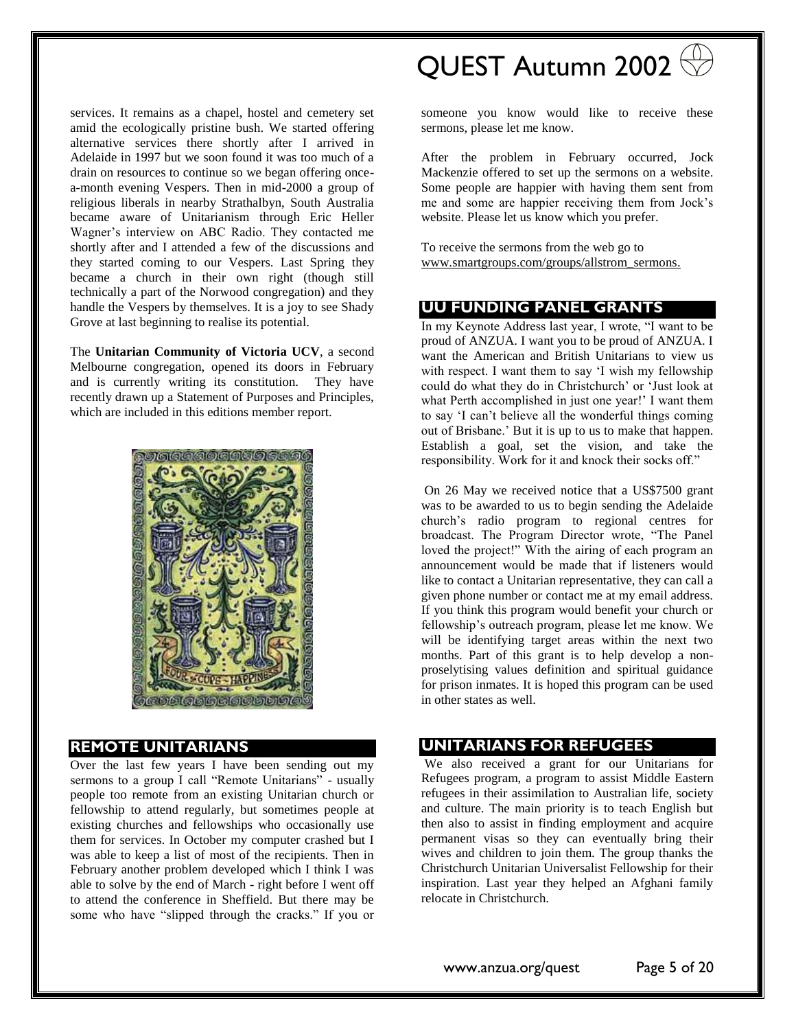services. It remains as a chapel, hostel and cemetery set amid the ecologically pristine bush. We started offering alternative services there shortly after I arrived in Adelaide in 1997 but we soon found it was too much of a drain on resources to continue so we began offering oncea-month evening Vespers. Then in mid-2000 a group of religious liberals in nearby Strathalbyn, South Australia became aware of Unitarianism through Eric Heller Wagner's interview on ABC Radio. They contacted me shortly after and I attended a few of the discussions and they started coming to our Vespers. Last Spring they became a church in their own right (though still technically a part of the Norwood congregation) and they handle the Vespers by themselves. It is a joy to see Shady Grove at last beginning to realise its potential.

The **Unitarian Community of Victoria UCV**, a second Melbourne congregation, opened its doors in February and is currently writing its constitution. They have recently drawn up a Statement of Purposes and Principles, which are included in this editions member report.



### <span id="page-4-0"></span>**REMOTE UNITARIANS**

Over the last few years I have been sending out my sermons to a group I call "Remote Unitarians" - usually people too remote from an existing Unitarian church or fellowship to attend regularly, but sometimes people at existing churches and fellowships who occasionally use them for services. In October my computer crashed but I was able to keep a list of most of the recipients. Then in February another problem developed which I think I was able to solve by the end of March - right before I went off to attend the conference in Sheffield. But there may be some who have "slipped through the cracks." If you or

# QUEST Autumn 2002

someone you know would like to receive these sermons, please let me know.

After the problem in February occurred, Jock Mackenzie offered to set up the sermons on a website. Some people are happier with having them sent from me and some are happier receiving them from Jock's website. Please let us know which you prefer.

To receive the sermons from the web go to [www.smartgroups.com/groups/allstrom\\_sermons.](http://www.smartgroups.com/groups/allstrom_sermons)

### <span id="page-4-1"></span>**UU FUNDING PANEL GRANTS**

In my Keynote Address last year, I wrote, "I want to be proud of ANZUA. I want you to be proud of ANZUA. I want the American and British Unitarians to view us with respect. I want them to say 'I wish my fellowship could do what they do in Christchurch' or 'Just look at what Perth accomplished in just one year!' I want them to say 'I can't believe all the wonderful things coming out of Brisbane.' But it is up to us to make that happen. Establish a goal, set the vision, and take the responsibility. Work for it and knock their socks off."

On 26 May we received notice that a US\$7500 grant was to be awarded to us to begin sending the Adelaide church's radio program to regional centres for broadcast. The Program Director wrote, "The Panel loved the project!" With the airing of each program an announcement would be made that if listeners would like to contact a Unitarian representative, they can call a given phone number or contact me at my email address. If you think this program would benefit your church or fellowship's outreach program, please let me know. We will be identifying target areas within the next two months. Part of this grant is to help develop a nonproselytising values definition and spiritual guidance for prison inmates. It is hoped this program can be used in other states as well.

### <span id="page-4-2"></span>**UNITARIANS FOR REFUGEES**

We also received a grant for our Unitarians for Refugees program, a program to assist Middle Eastern refugees in their assimilation to Australian life, society and culture. The main priority is to teach English but then also to assist in finding employment and acquire permanent visas so they can eventually bring their wives and children to join them. The group thanks the Christchurch Unitarian Universalist Fellowship for their inspiration. Last year they helped an Afghani family relocate in Christchurch.

www.anzua.org/quest Page 5 of 20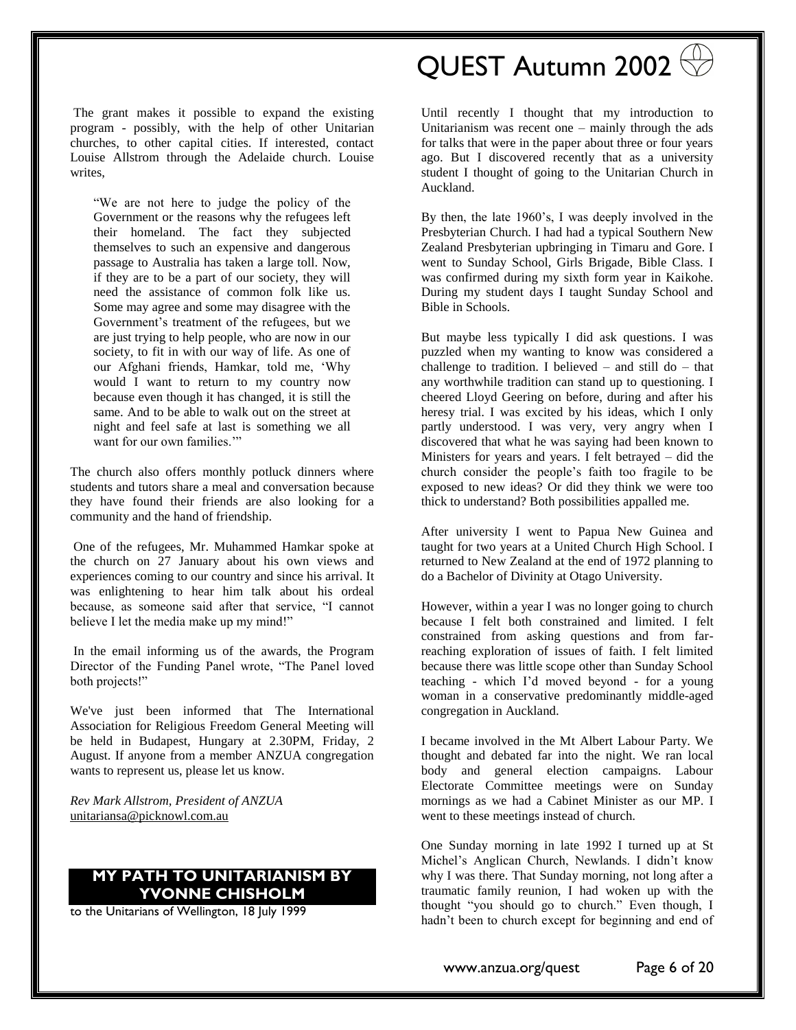The grant makes it possible to expand the existing program - possibly, with the help of other Unitarian churches, to other capital cities. If interested, contact Louise Allstrom through the Adelaide church. Louise writes,

"We are not here to judge the policy of the Government or the reasons why the refugees left their homeland. The fact they subjected themselves to such an expensive and dangerous passage to Australia has taken a large toll. Now, if they are to be a part of our society, they will need the assistance of common folk like us. Some may agree and some may disagree with the Government's treatment of the refugees, but we are just trying to help people, who are now in our society, to fit in with our way of life. As one of our Afghani friends, Hamkar, told me, 'Why would I want to return to my country now because even though it has changed, it is still the same. And to be able to walk out on the street at night and feel safe at last is something we all want for our own families."

The church also offers monthly potluck dinners where students and tutors share a meal and conversation because they have found their friends are also looking for a community and the hand of friendship.

One of the refugees, Mr. Muhammed Hamkar spoke at the church on 27 January about his own views and experiences coming to our country and since his arrival. It was enlightening to hear him talk about his ordeal because, as someone said after that service, "I cannot believe I let the media make up my mind!"

In the email informing us of the awards, the Program Director of the Funding Panel wrote, "The Panel loved both projects!"

We've just been informed that The International Association for Religious Freedom General Meeting will be held in Budapest, Hungary at 2.30PM, Friday, 2 August. If anyone from a member ANZUA congregation wants to represent us, please let us know.

*Rev Mark Allstrom, President of ANZUA* [unitariansa@picknowl.com.au](mailto:unitariansa@picknowl.com.au)

### <span id="page-5-0"></span>**MY PATH TO UNITARIANISM BY YVONNE CHISHOLM**

to the Unitarians of Wellington, 18 July 1999

# QUEST Autumn 2002

Until recently I thought that my introduction to Unitarianism was recent one – mainly through the ads for talks that were in the paper about three or four years ago. But I discovered recently that as a university student I thought of going to the Unitarian Church in Auckland.

By then, the late 1960's, I was deeply involved in the Presbyterian Church. I had had a typical Southern New Zealand Presbyterian upbringing in Timaru and Gore. I went to Sunday School, Girls Brigade, Bible Class. I was confirmed during my sixth form year in Kaikohe. During my student days I taught Sunday School and Bible in Schools.

But maybe less typically I did ask questions. I was puzzled when my wanting to know was considered a challenge to tradition. I believed  $-$  and still do  $-$  that any worthwhile tradition can stand up to questioning. I cheered Lloyd Geering on before, during and after his heresy trial. I was excited by his ideas, which I only partly understood. I was very, very angry when I discovered that what he was saying had been known to Ministers for years and years. I felt betrayed – did the church consider the people's faith too fragile to be exposed to new ideas? Or did they think we were too thick to understand? Both possibilities appalled me.

After university I went to Papua New Guinea and taught for two years at a United Church High School. I returned to New Zealand at the end of 1972 planning to do a Bachelor of Divinity at Otago University.

However, within a year I was no longer going to church because I felt both constrained and limited. I felt constrained from asking questions and from farreaching exploration of issues of faith. I felt limited because there was little scope other than Sunday School teaching - which I'd moved beyond - for a young woman in a conservative predominantly middle-aged congregation in Auckland.

I became involved in the Mt Albert Labour Party. We thought and debated far into the night. We ran local body and general election campaigns. Labour Electorate Committee meetings were on Sunday mornings as we had a Cabinet Minister as our MP. I went to these meetings instead of church.

One Sunday morning in late 1992 I turned up at St Michel's Anglican Church, Newlands. I didn't know why I was there. That Sunday morning, not long after a traumatic family reunion, I had woken up with the thought "you should go to church." Even though, I hadn't been to church except for beginning and end of

www.anzua.org/quest Page 6 of 20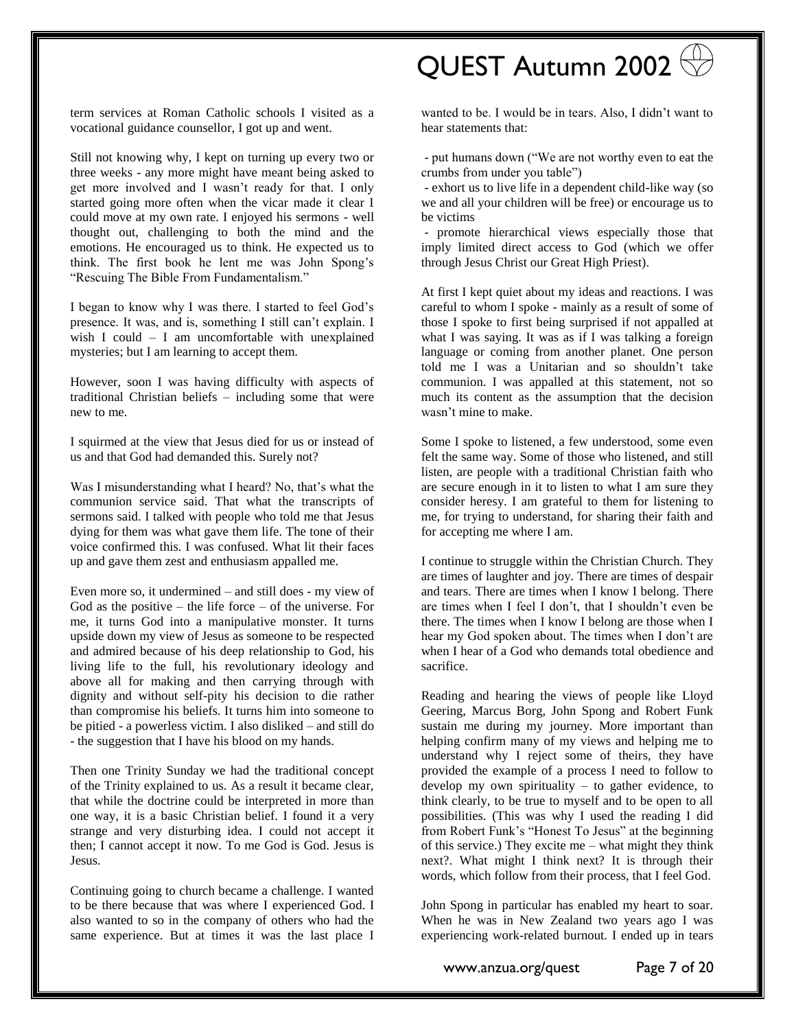#### term services at Roman Catholic schools I visited as a vocational guidance counsellor, I got up and went.

Still not knowing why, I kept on turning up every two or three weeks - any more might have meant being asked to get more involved and I wasn't ready for that. I only started going more often when the vicar made it clear I could move at my own rate. I enjoyed his sermons - well thought out, challenging to both the mind and the emotions. He encouraged us to think. He expected us to think. The first book he lent me was John Spong's "Rescuing The Bible From Fundamentalism."

I began to know why I was there. I started to feel God's presence. It was, and is, something I still can't explain. I wish I could – I am uncomfortable with unexplained mysteries; but I am learning to accept them.

However, soon I was having difficulty with aspects of traditional Christian beliefs – including some that were new to me.

I squirmed at the view that Jesus died for us or instead of us and that God had demanded this. Surely not?

Was I misunderstanding what I heard? No, that's what the communion service said. That what the transcripts of sermons said. I talked with people who told me that Jesus dying for them was what gave them life. The tone of their voice confirmed this. I was confused. What lit their faces up and gave them zest and enthusiasm appalled me.

Even more so, it undermined – and still does - my view of God as the positive – the life force – of the universe. For me, it turns God into a manipulative monster. It turns upside down my view of Jesus as someone to be respected and admired because of his deep relationship to God, his living life to the full, his revolutionary ideology and above all for making and then carrying through with dignity and without self-pity his decision to die rather than compromise his beliefs. It turns him into someone to be pitied - a powerless victim. I also disliked – and still do - the suggestion that I have his blood on my hands.

Then one Trinity Sunday we had the traditional concept of the Trinity explained to us. As a result it became clear, that while the doctrine could be interpreted in more than one way, it is a basic Christian belief. I found it a very strange and very disturbing idea. I could not accept it then; I cannot accept it now. To me God is God. Jesus is Jesus.

Continuing going to church became a challenge. I wanted to be there because that was where I experienced God. I also wanted to so in the company of others who had the same experience. But at times it was the last place I

# QUEST Autumn 2002

wanted to be. I would be in tears. Also, I didn't want to hear statements that:

- put humans down ("We are not worthy even to eat the crumbs from under you table")

- exhort us to live life in a dependent child-like way (so we and all your children will be free) or encourage us to be victims

- promote hierarchical views especially those that imply limited direct access to God (which we offer through Jesus Christ our Great High Priest).

At first I kept quiet about my ideas and reactions. I was careful to whom I spoke - mainly as a result of some of those I spoke to first being surprised if not appalled at what I was saying. It was as if I was talking a foreign language or coming from another planet. One person told me I was a Unitarian and so shouldn't take communion. I was appalled at this statement, not so much its content as the assumption that the decision wasn't mine to make.

Some I spoke to listened, a few understood, some even felt the same way. Some of those who listened, and still listen, are people with a traditional Christian faith who are secure enough in it to listen to what I am sure they consider heresy. I am grateful to them for listening to me, for trying to understand, for sharing their faith and for accepting me where I am.

I continue to struggle within the Christian Church. They are times of laughter and joy. There are times of despair and tears. There are times when I know I belong. There are times when I feel I don't, that I shouldn't even be there. The times when I know I belong are those when I hear my God spoken about. The times when I don't are when I hear of a God who demands total obedience and sacrifice.

Reading and hearing the views of people like Lloyd Geering, Marcus Borg, John Spong and Robert Funk sustain me during my journey. More important than helping confirm many of my views and helping me to understand why I reject some of theirs, they have provided the example of a process I need to follow to develop my own spirituality  $-$  to gather evidence, to think clearly, to be true to myself and to be open to all possibilities. (This was why I used the reading I did from Robert Funk's "Honest To Jesus" at the beginning of this service.) They excite me – what might they think next?. What might I think next? It is through their words, which follow from their process, that I feel God.

John Spong in particular has enabled my heart to soar. When he was in New Zealand two years ago I was experiencing work-related burnout. I ended up in tears

www.anzua.org/quest Page 7 of 20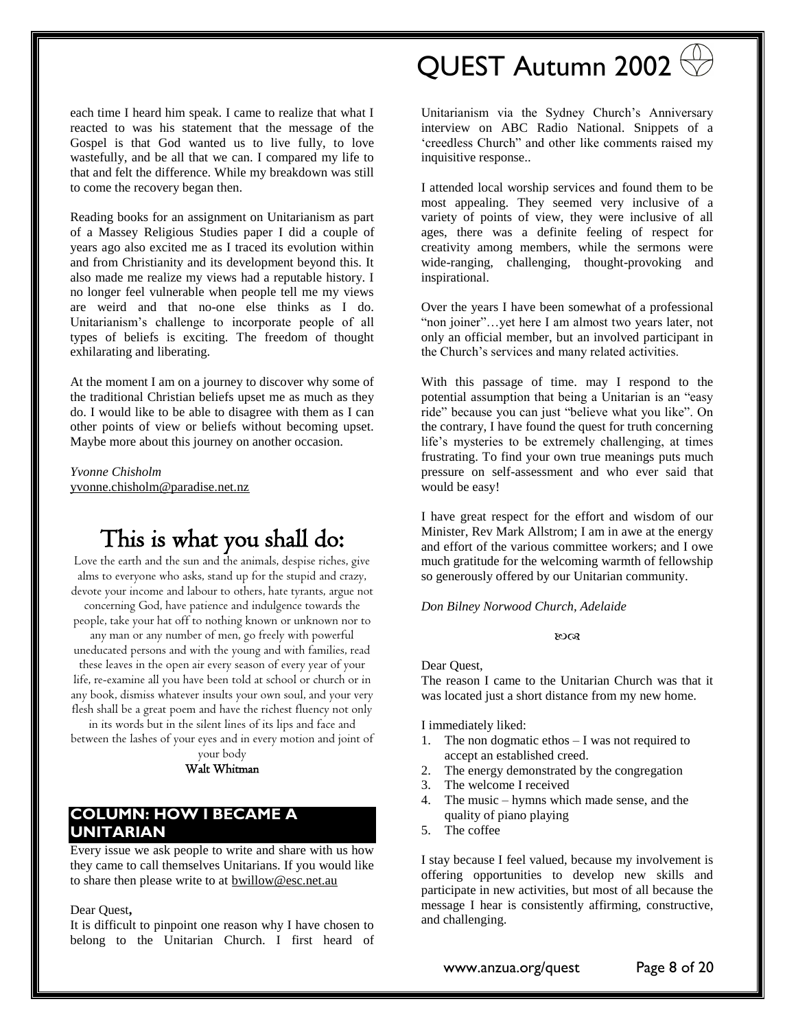each time I heard him speak. I came to realize that what I reacted to was his statement that the message of the Gospel is that God wanted us to live fully, to love wastefully, and be all that we can. I compared my life to that and felt the difference. While my breakdown was still to come the recovery began then.

Reading books for an assignment on Unitarianism as part of a Massey Religious Studies paper I did a couple of years ago also excited me as I traced its evolution within and from Christianity and its development beyond this. It also made me realize my views had a reputable history. I no longer feel vulnerable when people tell me my views are weird and that no-one else thinks as I do. Unitarianism's challenge to incorporate people of all types of beliefs is exciting. The freedom of thought exhilarating and liberating.

At the moment I am on a journey to discover why some of the traditional Christian beliefs upset me as much as they do. I would like to be able to disagree with them as I can other points of view or beliefs without becoming upset. Maybe more about this journey on another occasion.

*Yvonne Chisholm* [yvonne.chisholm@paradise.net.nz](mailto:yvonne.chisholm@paradise.net.nz)

# This is what you shall do:

Love the earth and the sun and the animals, despise riches, give alms to everyone who asks, stand up for the stupid and crazy, devote your income and labour to others, hate tyrants, argue not

concerning God, have patience and indulgence towards the people, take your hat off to nothing known or unknown nor to

any man or any number of men, go freely with powerful uneducated persons and with the young and with families, read these leaves in the open air every season of every year of your

life, re-examine all you have been told at school or church or in any book, dismiss whatever insults your own soul, and your very flesh shall be a great poem and have the richest fluency not only

in its words but in the silent lines of its lips and face and between the lashes of your eyes and in every motion and joint of your body

Walt Whitman

## <span id="page-7-0"></span>**COLUMN: HOW I BECAME A UNITARIAN**

Every issue we ask people to write and share with us how they came to call themselves Unitarians. If you would like to share then please write to at **bwillow@esc.net.au** 

Dear Quest**,**

It is difficult to pinpoint one reason why I have chosen to belong to the Unitarian Church. I first heard of

# QUEST Autumn 2002

Unitarianism via the Sydney Church's Anniversary interview on ABC Radio National. Snippets of a 'creedless Church" and other like comments raised my inquisitive response..

I attended local worship services and found them to be most appealing. They seemed very inclusive of a variety of points of view, they were inclusive of all ages, there was a definite feeling of respect for creativity among members, while the sermons were wide-ranging, challenging, thought-provoking and inspirational.

Over the years I have been somewhat of a professional "non joiner"…yet here I am almost two years later, not only an official member, but an involved participant in the Church's services and many related activities.

With this passage of time. may I respond to the potential assumption that being a Unitarian is an "easy ride" because you can just "believe what you like". On the contrary, I have found the quest for truth concerning life's mysteries to be extremely challenging, at times frustrating. To find your own true meanings puts much pressure on self-assessment and who ever said that would be easy!

I have great respect for the effort and wisdom of our Minister, Rev Mark Allstrom; I am in awe at the energy and effort of the various committee workers; and I owe much gratitude for the welcoming warmth of fellowship so generously offered by our Unitarian community.

*Don Bilney Norwood Church, Adelaide*

#### ುಂತ

Dear Quest,

The reason I came to the Unitarian Church was that it was located just a short distance from my new home.

I immediately liked:

- 1. The non dogmatic ethos I was not required to accept an established creed.
- 2. The energy demonstrated by the congregation
- 3. The welcome I received
- The music hymns which made sense, and the quality of piano playing
- 5. The coffee

I stay because I feel valued, because my involvement is offering opportunities to develop new skills and participate in new activities, but most of all because the message I hear is consistently affirming, constructive, and challenging.

www.anzua.org/quest Page 8 of 20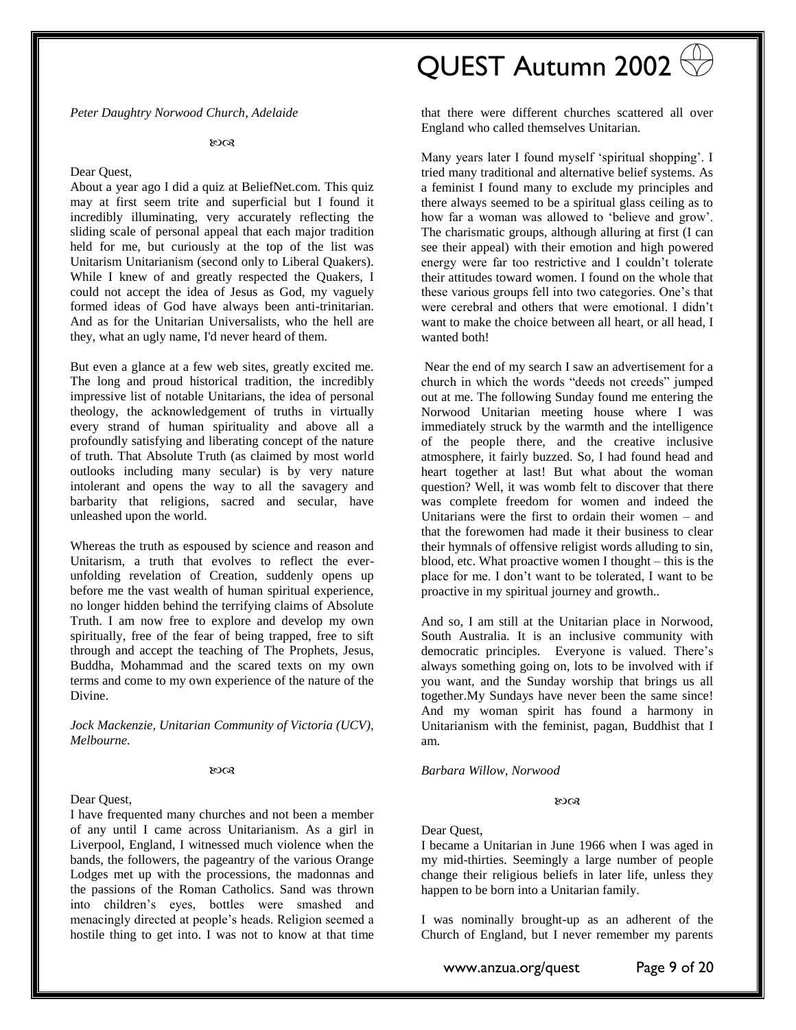*Peter Daughtry Norwood Church, Adelaide*

#### ಣ

#### Dear Quest,

About a year ago I did a quiz at BeliefNet.com. This quiz may at first seem trite and superficial but I found it incredibly illuminating, very accurately reflecting the sliding scale of personal appeal that each major tradition held for me, but curiously at the top of the list was Unitarism Unitarianism (second only to Liberal Quakers). While I knew of and greatly respected the Quakers, I could not accept the idea of Jesus as God, my vaguely formed ideas of God have always been anti-trinitarian. And as for the Unitarian Universalists, who the hell are they, what an ugly name, I'd never heard of them.

But even a glance at a few web sites, greatly excited me. The long and proud historical tradition, the incredibly impressive list of notable Unitarians, the idea of personal theology, the acknowledgement of truths in virtually every strand of human spirituality and above all a profoundly satisfying and liberating concept of the nature of truth. That Absolute Truth (as claimed by most world outlooks including many secular) is by very nature intolerant and opens the way to all the savagery and barbarity that religions, sacred and secular, have unleashed upon the world.

Whereas the truth as espoused by science and reason and Unitarism, a truth that evolves to reflect the everunfolding revelation of Creation, suddenly opens up before me the vast wealth of human spiritual experience, no longer hidden behind the terrifying claims of Absolute Truth. I am now free to explore and develop my own spiritually, free of the fear of being trapped, free to sift through and accept the teaching of The Prophets, Jesus, Buddha, Mohammad and the scared texts on my own terms and come to my own experience of the nature of the Divine.

*Jock Mackenzie, Unitarian Community of Victoria (UCV), Melbourne.*

#### $8003$

#### Dear Quest,

I have frequented many churches and not been a member of any until I came across Unitarianism. As a girl in Liverpool, England, I witnessed much violence when the bands, the followers, the pageantry of the various Orange Lodges met up with the processions, the madonnas and the passions of the Roman Catholics. Sand was thrown into children's eyes, bottles were smashed and menacingly directed at people's heads. Religion seemed a hostile thing to get into. I was not to know at that time

# QUEST Autumn 2002

that there were different churches scattered all over England who called themselves Unitarian.

Many years later I found myself 'spiritual shopping'. I tried many traditional and alternative belief systems. As a feminist I found many to exclude my principles and there always seemed to be a spiritual glass ceiling as to how far a woman was allowed to 'believe and grow'. The charismatic groups, although alluring at first (I can see their appeal) with their emotion and high powered energy were far too restrictive and I couldn't tolerate their attitudes toward women. I found on the whole that these various groups fell into two categories. One's that were cerebral and others that were emotional. I didn't want to make the choice between all heart, or all head, I wanted both!

Near the end of my search I saw an advertisement for a church in which the words "deeds not creeds" jumped out at me. The following Sunday found me entering the Norwood Unitarian meeting house where I was immediately struck by the warmth and the intelligence of the people there, and the creative inclusive atmosphere, it fairly buzzed. So, I had found head and heart together at last! But what about the woman question? Well, it was womb felt to discover that there was complete freedom for women and indeed the Unitarians were the first to ordain their women – and that the forewomen had made it their business to clear their hymnals of offensive religist words alluding to sin, blood, etc. What proactive women I thought – this is the place for me. I don't want to be tolerated, I want to be proactive in my spiritual journey and growth..

And so, I am still at the Unitarian place in Norwood, South Australia. It is an inclusive community with democratic principles. Everyone is valued. There's always something going on, lots to be involved with if you want, and the Sunday worship that brings us all together.My Sundays have never been the same since! And my woman spirit has found a harmony in Unitarianism with the feminist, pagan, Buddhist that I am.

*Barbara Willow, Norwood* 

#### ಣಂತ

#### Dear Quest,

I became a Unitarian in June 1966 when I was aged in my mid-thirties. Seemingly a large number of people change their religious beliefs in later life, unless they happen to be born into a Unitarian family.

I was nominally brought-up as an adherent of the Church of England, but I never remember my parents

www.anzua.org/quest Page 9 of 20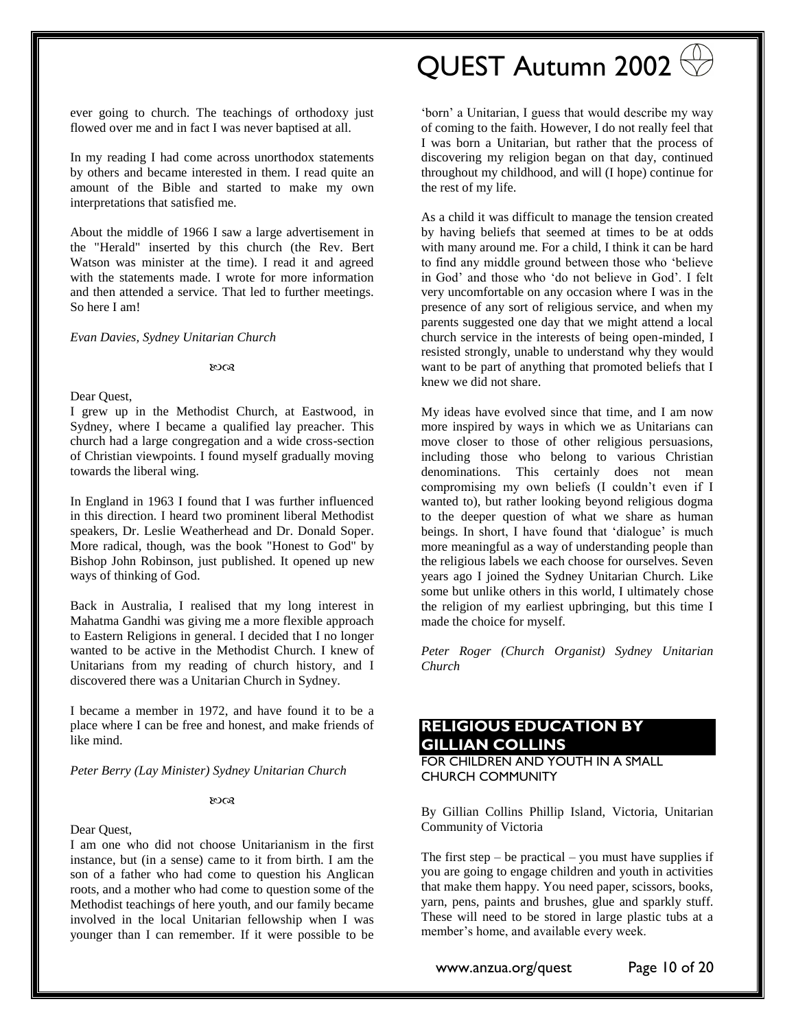ever going to church. The teachings of orthodoxy just flowed over me and in fact I was never baptised at all.

In my reading I had come across unorthodox statements by others and became interested in them. I read quite an amount of the Bible and started to make my own interpretations that satisfied me.

About the middle of 1966 I saw a large advertisement in the "Herald" inserted by this church (the Rev. Bert Watson was minister at the time). I read it and agreed with the statements made. I wrote for more information and then attended a service. That led to further meetings. So here I am!

#### *Evan Davies, Sydney Unitarian Church*

ಣಂತ

#### Dear Quest,

I grew up in the Methodist Church, at Eastwood, in Sydney, where I became a qualified lay preacher. This church had a large congregation and a wide cross-section of Christian viewpoints. I found myself gradually moving towards the liberal wing.

In England in 1963 I found that I was further influenced in this direction. I heard two prominent liberal Methodist speakers, Dr. Leslie Weatherhead and Dr. Donald Soper. More radical, though, was the book "Honest to God" by Bishop John Robinson, just published. It opened up new ways of thinking of God.

Back in Australia, I realised that my long interest in Mahatma Gandhi was giving me a more flexible approach to Eastern Religions in general. I decided that I no longer wanted to be active in the Methodist Church. I knew of Unitarians from my reading of church history, and I discovered there was a Unitarian Church in Sydney.

I became a member in 1972, and have found it to be a place where I can be free and honest, and make friends of like mind.

*Peter Berry (Lay Minister) Sydney Unitarian Church*

#### 8008

#### Dear Quest,

I am one who did not choose Unitarianism in the first instance, but (in a sense) came to it from birth. I am the son of a father who had come to question his Anglican roots, and a mother who had come to question some of the Methodist teachings of here youth, and our family became involved in the local Unitarian fellowship when I was younger than I can remember. If it were possible to be

# QUEST Autumn 2002

'born' a Unitarian, I guess that would describe my way of coming to the faith. However, I do not really feel that I was born a Unitarian, but rather that the process of discovering my religion began on that day, continued throughout my childhood, and will (I hope) continue for the rest of my life.

As a child it was difficult to manage the tension created by having beliefs that seemed at times to be at odds with many around me. For a child, I think it can be hard to find any middle ground between those who 'believe in God' and those who 'do not believe in God'. I felt very uncomfortable on any occasion where I was in the presence of any sort of religious service, and when my parents suggested one day that we might attend a local church service in the interests of being open-minded, I resisted strongly, unable to understand why they would want to be part of anything that promoted beliefs that I knew we did not share.

My ideas have evolved since that time, and I am now more inspired by ways in which we as Unitarians can move closer to those of other religious persuasions, including those who belong to various Christian denominations. This certainly does not mean compromising my own beliefs (I couldn't even if I wanted to), but rather looking beyond religious dogma to the deeper question of what we share as human beings. In short, I have found that 'dialogue' is much more meaningful as a way of understanding people than the religious labels we each choose for ourselves. Seven years ago I joined the Sydney Unitarian Church. Like some but unlike others in this world, I ultimately chose the religion of my earliest upbringing, but this time I made the choice for myself.

*Peter Roger (Church Organist) Sydney Unitarian Church*

## <span id="page-9-0"></span>**RELIGIOUS EDUCATION BY GILLIAN COLLINS**

FOR CHILDREN AND YOUTH IN A SMALL CHURCH COMMUNITY

By Gillian Collins Phillip Island, Victoria, Unitarian Community of Victoria

The first step  $-$  be practical  $-$  you must have supplies if you are going to engage children and youth in activities that make them happy. You need paper, scissors, books, yarn, pens, paints and brushes, glue and sparkly stuff. These will need to be stored in large plastic tubs at a member's home, and available every week.

www.anzua.org/quest Page 10 of 20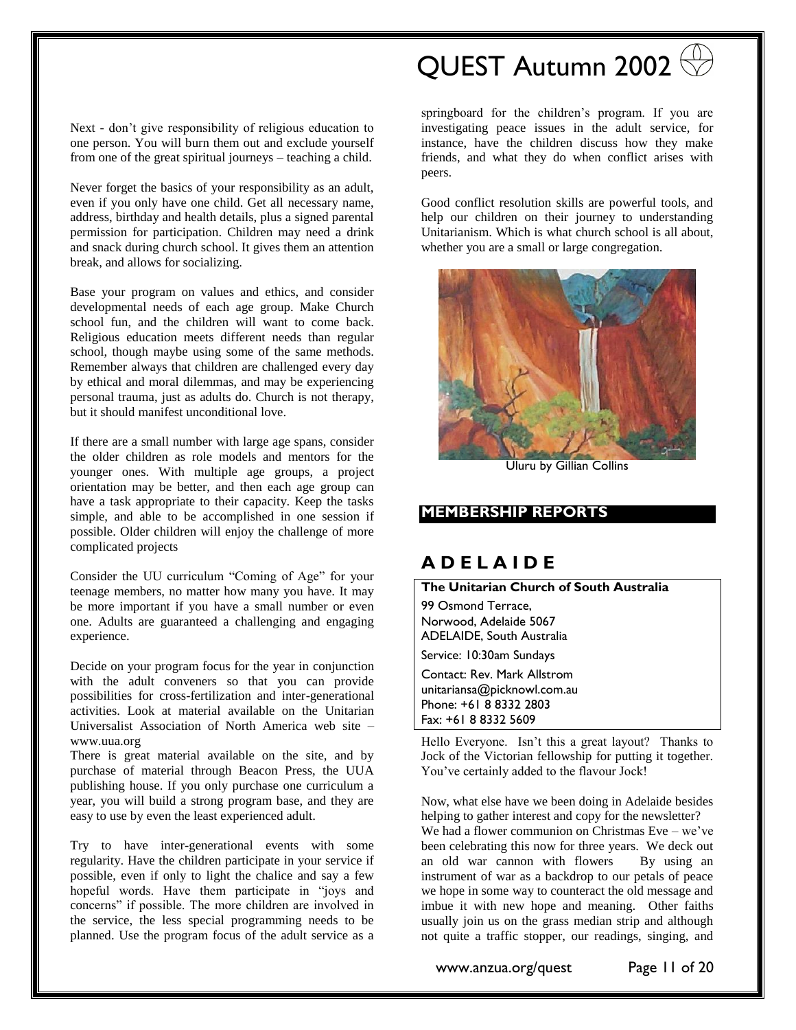Next - don't give responsibility of religious education to one person. You will burn them out and exclude yourself from one of the great spiritual journeys – teaching a child.

Never forget the basics of your responsibility as an adult, even if you only have one child. Get all necessary name, address, birthday and health details, plus a signed parental permission for participation. Children may need a drink and snack during church school. It gives them an attention break, and allows for socializing.

Base your program on values and ethics, and consider developmental needs of each age group. Make Church school fun, and the children will want to come back. Religious education meets different needs than regular school, though maybe using some of the same methods. Remember always that children are challenged every day by ethical and moral dilemmas, and may be experiencing personal trauma, just as adults do. Church is not therapy, but it should manifest unconditional love.

If there are a small number with large age spans, consider the older children as role models and mentors for the younger ones. With multiple age groups, a project orientation may be better, and then each age group can have a task appropriate to their capacity. Keep the tasks simple, and able to be accomplished in one session if possible. Older children will enjoy the challenge of more complicated projects

Consider the UU curriculum "Coming of Age" for your teenage members, no matter how many you have. It may be more important if you have a small number or even one. Adults are guaranteed a challenging and engaging experience.

Decide on your program focus for the year in conjunction with the adult conveners so that you can provide possibilities for cross-fertilization and inter-generational activities. Look at material available on the Unitarian Universalist Association of North America web site – [www.uua.org](http://www.uua.org/)

There is great material available on the site, and by purchase of material through Beacon Press, the UUA publishing house. If you only purchase one curriculum a year, you will build a strong program base, and they are easy to use by even the least experienced adult.

Try to have inter-generational events with some regularity. Have the children participate in your service if possible, even if only to light the chalice and say a few hopeful words. Have them participate in "joys and concerns" if possible. The more children are involved in the service, the less special programming needs to be planned. Use the program focus of the adult service as a

# QUEST Autumn 2002

springboard for the children's program. If you are investigating peace issues in the adult service, for instance, have the children discuss how they make friends, and what they do when conflict arises with peers.

Good conflict resolution skills are powerful tools, and help our children on their journey to understanding Unitarianism. Which is what church school is all about, whether you are a small or large congregation.



Uluru by Gillian Collins

#### <span id="page-10-0"></span>**MEMBERSHIP REPORTS**

## **A D E L A I D E**

#### **The Unitarian Church of South Australia**

99 Osmond Terrace, Norwood, Adelaide 5067 ADELAIDE, South Australia Service: 10:30am Sundays

Contact: [Rev. Mark Allstrom](mailto:unitariansa@picknowl.com.au)  unitariansa@picknowl.com.au Phone: +61 8 8332 2803 Fax: +61 8 8332 5609

Hello Everyone. Isn't this a great layout? Thanks to Jock of the Victorian fellowship for putting it together. You've certainly added to the flavour Jock!

Now, what else have we been doing in Adelaide besides helping to gather interest and copy for the newsletter? We had a flower communion on Christmas Eve – we've been celebrating this now for three years. We deck out an old war cannon with flowers By using an instrument of war as a backdrop to our petals of peace we hope in some way to counteract the old message and imbue it with new hope and meaning. Other faiths usually join us on the grass median strip and although not quite a traffic stopper, our readings, singing, and

www.anzua.org/quest Page 11 of 20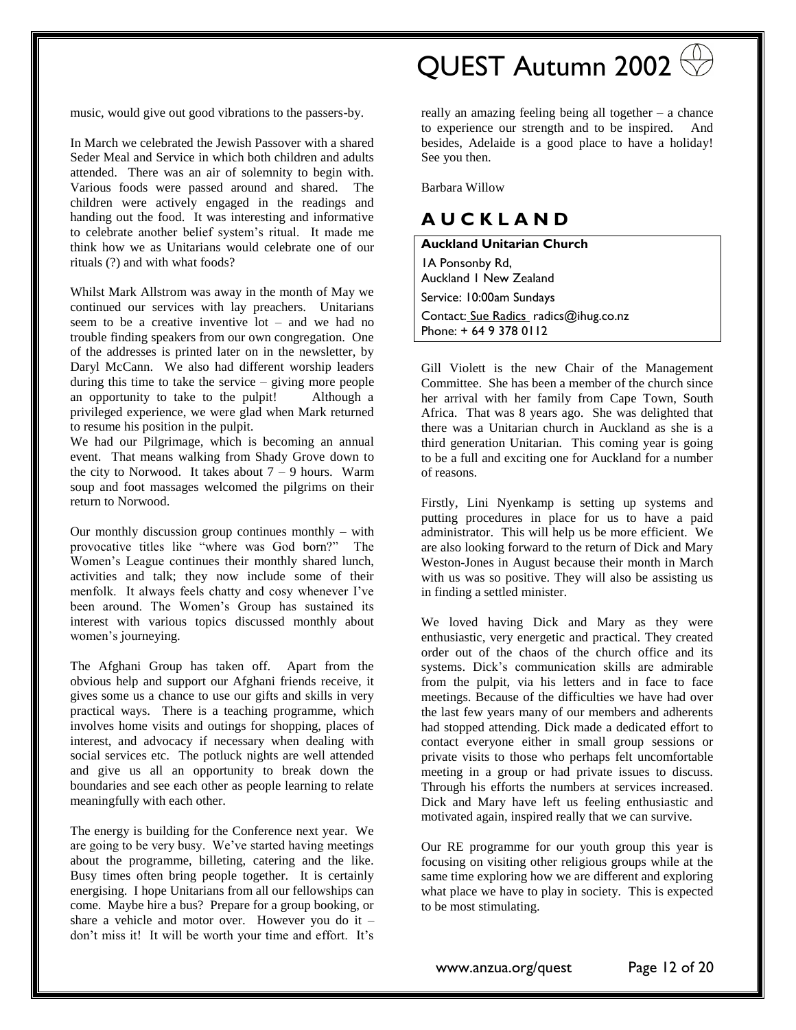music, would give out good vibrations to the passers-by.

In March we celebrated the Jewish Passover with a shared Seder Meal and Service in which both children and adults attended. There was an air of solemnity to begin with. Various foods were passed around and shared. The children were actively engaged in the readings and handing out the food. It was interesting and informative to celebrate another belief system's ritual. It made me think how we as Unitarians would celebrate one of our rituals (?) and with what foods?

Whilst Mark Allstrom was away in the month of May we continued our services with lay preachers. Unitarians seem to be a creative inventive lot – and we had no trouble finding speakers from our own congregation. One of the addresses is printed later on in the newsletter, by Daryl McCann. We also had different worship leaders during this time to take the service – giving more people an opportunity to take to the pulpit! Although a privileged experience, we were glad when Mark returned to resume his position in the pulpit.

We had our Pilgrimage, which is becoming an annual event. That means walking from Shady Grove down to the city to Norwood. It takes about  $7 - 9$  hours. Warm soup and foot massages welcomed the pilgrims on their return to Norwood.

Our monthly discussion group continues monthly – with provocative titles like "where was God born?" The Women's League continues their monthly shared lunch, activities and talk; they now include some of their menfolk. It always feels chatty and cosy whenever I've been around. The Women's Group has sustained its interest with various topics discussed monthly about women's journeying.

The Afghani Group has taken off. Apart from the obvious help and support our Afghani friends receive, it gives some us a chance to use our gifts and skills in very practical ways. There is a teaching programme, which involves home visits and outings for shopping, places of interest, and advocacy if necessary when dealing with social services etc. The potluck nights are well attended and give us all an opportunity to break down the boundaries and see each other as people learning to relate meaningfully with each other.

The energy is building for the Conference next year. We are going to be very busy. We've started having meetings about the programme, billeting, catering and the like. Busy times often bring people together. It is certainly energising. I hope Unitarians from all our fellowships can come. Maybe hire a bus? Prepare for a group booking, or share a vehicle and motor over. However you do it – don't miss it! It will be worth your time and effort. It's

# QUEST Autumn 2002

really an amazing feeling being all together – a chance to experience our strength and to be inspired. And besides, Adelaide is a good place to have a holiday! See you then.

Barbara Willow

## **A U C K L A N D**

**Auckland Unitarian Church** 1A Ponsonby Rd, Auckland 1 New Zealand Service: 10:00am Sundays Contact: Sue Radics\_radics@ihug.co.nz Phone: + 64 9 378 0112

Gill Violett is the new Chair of the Management Committee. She has been a member of the church since her arrival with her family from Cape Town, South Africa. That was 8 years ago. She was delighted that there was a Unitarian church in Auckland as she is a third generation Unitarian. This coming year is going to be a full and exciting one for Auckland for a number of reasons.

Firstly, Lini Nyenkamp is setting up systems and putting procedures in place for us to have a paid administrator. This will help us be more efficient. We are also looking forward to the return of Dick and Mary Weston-Jones in August because their month in March with us was so positive. They will also be assisting us in finding a settled minister.

We loved having Dick and Mary as they were enthusiastic, very energetic and practical. They created order out of the chaos of the church office and its systems. Dick's communication skills are admirable from the pulpit, via his letters and in face to face meetings. Because of the difficulties we have had over the last few years many of our members and adherents had stopped attending. Dick made a dedicated effort to contact everyone either in small group sessions or private visits to those who perhaps felt uncomfortable meeting in a group or had private issues to discuss. Through his efforts the numbers at services increased. Dick and Mary have left us feeling enthusiastic and motivated again, inspired really that we can survive.

Our RE programme for our youth group this year is focusing on visiting other religious groups while at the same time exploring how we are different and exploring what place we have to play in society. This is expected to be most stimulating.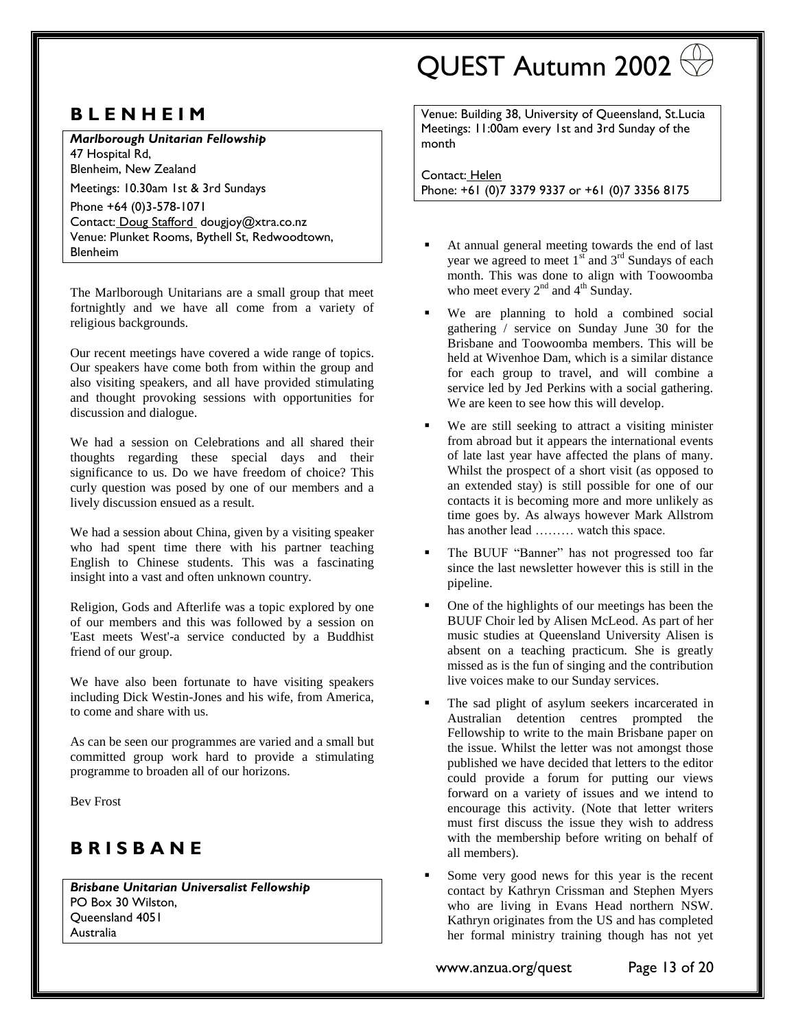## **B L E N H E I M**

*Marlborough Unitarian Fellowship*  47 Hospital Rd, Blenheim, New Zealand Meetings: 10.30am 1st & 3rd Sundays Phone +64 (0)3-578-1071

Contact: [Doug Stafford](dougjoy@xtra.co.nz) dougjoy@xtra.co.nz Venue: Plunket Rooms, Bythell St, Redwoodtown, Blenheim

The Marlborough Unitarians are a small group that meet fortnightly and we have all come from a variety of religious backgrounds.

Our recent meetings have covered a wide range of topics. Our speakers have come both from within the group and also visiting speakers, and all have provided stimulating and thought provoking sessions with opportunities for discussion and dialogue.

We had a session on Celebrations and all shared their thoughts regarding these special days and their significance to us. Do we have freedom of choice? This curly question was posed by one of our members and a lively discussion ensued as a result.

We had a session about China, given by a visiting speaker who had spent time there with his partner teaching English to Chinese students. This was a fascinating insight into a vast and often unknown country.

Religion, Gods and Afterlife was a topic explored by one of our members and this was followed by a session on 'East meets West'-a service conducted by a Buddhist friend of our group.

We have also been fortunate to have visiting speakers including Dick Westin-Jones and his wife, from America, to come and share with us.

As can be seen our programmes are varied and a small but committed group work hard to provide a stimulating programme to broaden all of our horizons.

Bev Frost

## **B R I S B A N E**

*Brisbane Unitarian Universalist Fellowship* PO Box 30 Wilston, Queensland 4051 Australia

# QUEST Autumn 2002

Venue: Building 38, University of Queensland, St.Lucia Meetings: 11:00am every 1st and 3rd Sunday of the month

Contact: [Helen](mailto:73021.3357@compuserve.com)  Phone: +61 (0)7 3379 9337 or +61 (0)7 3356 8175

- At annual general meeting towards the end of last year we agreed to meet  $1<sup>st</sup>$  and  $3<sup>rd</sup>$  Sundays of each month. This was done to align with Toowoomba who meet every  $2^{nd}$  and  $4^{th}$  Sunday.
- We are planning to hold a combined social gathering / service on Sunday June 30 for the Brisbane and Toowoomba members. This will be held at Wivenhoe Dam, which is a similar distance for each group to travel, and will combine a service led by Jed Perkins with a social gathering. We are keen to see how this will develop.
- We are still seeking to attract a visiting minister from abroad but it appears the international events of late last year have affected the plans of many. Whilst the prospect of a short visit (as opposed to an extended stay) is still possible for one of our contacts it is becoming more and more unlikely as time goes by. As always however Mark Allstrom has another lead ……… watch this space.
- The BUUF "Banner" has not progressed too far since the last newsletter however this is still in the pipeline.
- One of the highlights of our meetings has been the BUUF Choir led by Alisen McLeod. As part of her music studies at Queensland University Alisen is absent on a teaching practicum. She is greatly missed as is the fun of singing and the contribution live voices make to our Sunday services.
- The sad plight of asylum seekers incarcerated in Australian detention centres prompted the Fellowship to write to the main Brisbane paper on the issue. Whilst the letter was not amongst those published we have decided that letters to the editor could provide a forum for putting our views forward on a variety of issues and we intend to encourage this activity. (Note that letter writers must first discuss the issue they wish to address with the membership before writing on behalf of all members).
- Some very good news for this year is the recent contact by Kathryn Crissman and Stephen Myers who are living in Evans Head northern NSW. Kathryn originates from the US and has completed her formal ministry training though has not yet

www.anzua.org/quest Page 13 of 20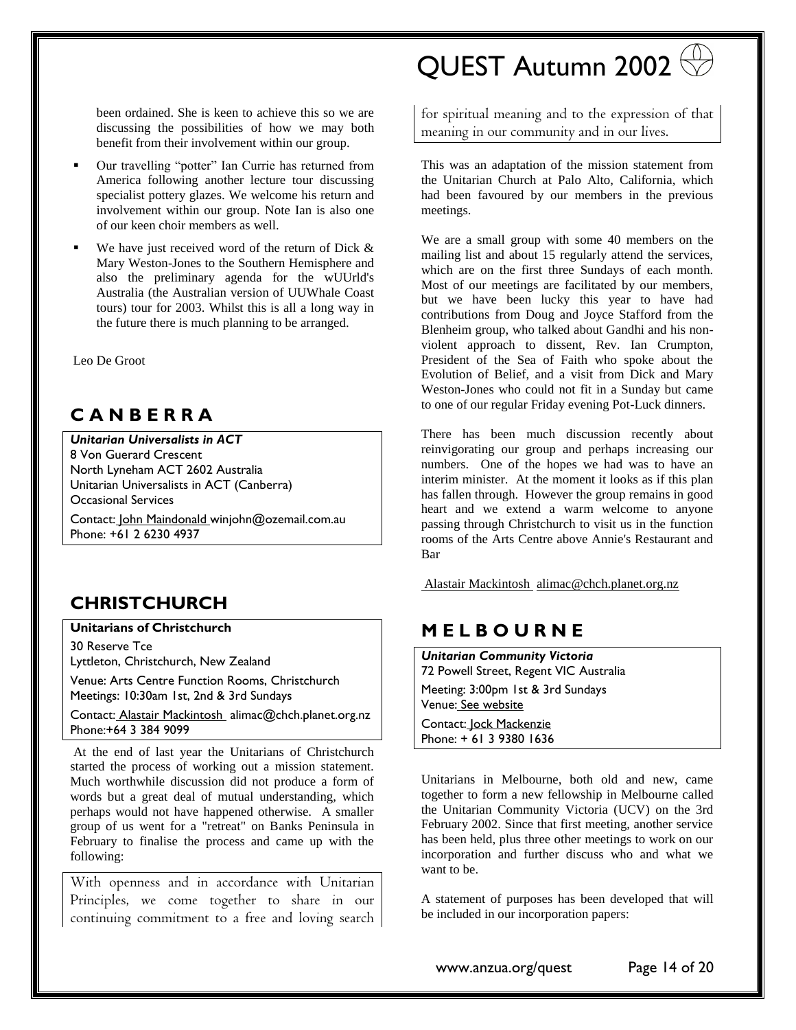been ordained. She is keen to achieve this so we are discussing the possibilities of how we may both benefit from their involvement within our group.

- Our travelling "potter" Ian Currie has returned from America following another lecture tour discussing specialist pottery glazes. We welcome his return and involvement within our group. Note Ian is also one of our keen choir members as well.
- We have just received word of the return of Dick  $\&$ Mary Weston-Jones to the Southern Hemisphere and also the preliminary agenda for the wUUrld's Australia (the Australian version of UUWhale Coast tours) tour for 2003. Whilst this is all a long way in the future there is much planning to be arranged.

Leo De Groot

## **C A N B E R R A**

*Unitarian Universalists in ACT* 8 Von Guerard Crescent North Lyneham ACT 2602 Australia Unitarian Universalists in ACT (Canberra) Occasional Services

Contact: [John Maindonald w](mailto:winjohn@ozemail.com.au)injohn@ozemail.com.au Phone: +61 2 6230 4937

## **CHRISTCHURCH**

#### **Unitarians of Christchurch**

30 Reserve Tce Lyttleton, Christchurch, New Zealand

Venue: Arts Centre Function Rooms, Christchurch Meetings: 10:30am 1st, 2nd & 3rd Sundays

Contact: [Alastair Mackintosh](mailto:alimac@chch.planet.org.nz) alimac@chch.planet.org.nz Phone:+64 3 384 9099

At the end of last year the Unitarians of Christchurch started the process of working out a mission statement. Much worthwhile discussion did not produce a form of words but a great deal of mutual understanding, which perhaps would not have happened otherwise. A smaller group of us went for a "retreat" on Banks Peninsula in February to finalise the process and came up with the following:

With openness and in accordance with Unitarian Principles, we come together to share in our continuing commitment to a free and loving search

# QUEST Autumn 2002

for spiritual meaning and to the expression of that meaning in our community and in our lives.

This was an adaptation of the mission statement from the Unitarian Church at Palo Alto, California, which had been favoured by our members in the previous meetings.

We are a small group with some 40 members on the mailing list and about 15 regularly attend the services, which are on the first three Sundays of each month. Most of our meetings are facilitated by our members, but we have been lucky this year to have had contributions from Doug and Joyce Stafford from the Blenheim group, who talked about Gandhi and his nonviolent approach to dissent, Rev. Ian Crumpton, President of the Sea of Faith who spoke about the Evolution of Belief, and a visit from Dick and Mary Weston-Jones who could not fit in a Sunday but came to one of our regular Friday evening Pot-Luck dinners.

There has been much discussion recently about reinvigorating our group and perhaps increasing our numbers. One of the hopes we had was to have an interim minister. At the moment it looks as if this plan has fallen through. However the group remains in good heart and we extend a warm welcome to anyone passing through Christchurch to visit us in the function rooms of the Arts Centre above Annie's Restaurant and Bar

[Alastair Mackintosh alimac@chch.planet.org.nz](mailto:alimac@chch.planet.org.nz)

## **M E L B O U R N E**

*Unitarian Community Victoria* 72 Powell Street, Regent VIC Australia Meeting: 3:00pm 1st & 3rd Sundays Venue: See website Contact: [Jock Mackenzie](mailto:jockmackenzie@yahoo.com.au)  Phone: + 61 3 9380 1636

Unitarians in Melbourne, both old and new, came together to form a new fellowship in Melbourne called the Unitarian Community Victoria (UCV) on the 3rd February 2002. Since that first meeting, another service has been held, plus three other meetings to work on our incorporation and further discuss who and what we want to be.

A statement of purposes has been developed that will be included in our incorporation papers:

www.anzua.org/quest Page 14 of 20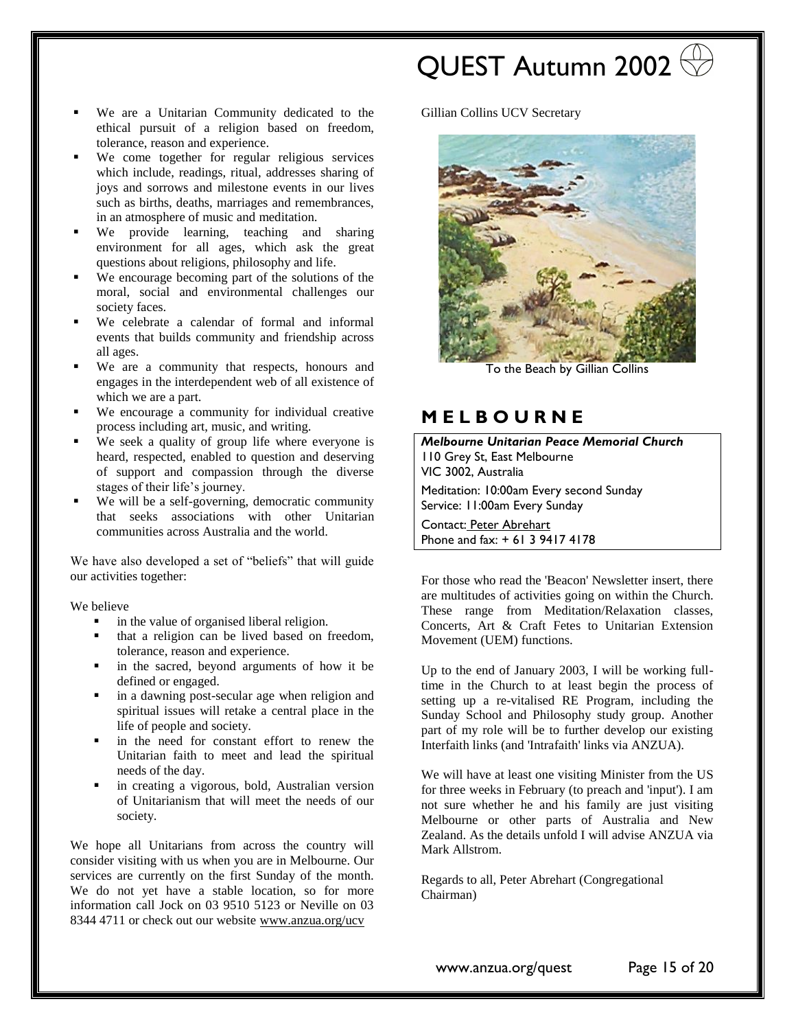- QUEST Autumn 2002
- We are a Unitarian Community dedicated to the ethical pursuit of a religion based on freedom, tolerance, reason and experience.
- We come together for regular religious services which include, readings, ritual, addresses sharing of joys and sorrows and milestone events in our lives such as births, deaths, marriages and remembrances, in an atmosphere of music and meditation.
- We provide learning, teaching and sharing environment for all ages, which ask the great questions about religions, philosophy and life.
- We encourage becoming part of the solutions of the moral, social and environmental challenges our society faces.
- We celebrate a calendar of formal and informal events that builds community and friendship across all ages.
- We are a community that respects, honours and engages in the interdependent web of all existence of which we are a part.
- We encourage a community for individual creative process including art, music, and writing.
- We seek a quality of group life where everyone is heard, respected, enabled to question and deserving of support and compassion through the diverse stages of their life's journey.
- We will be a self-governing, democratic community that seeks associations with other Unitarian communities across Australia and the world.

We have also developed a set of "beliefs" that will guide our activities together:

We believe

- in the value of organised liberal religion.
- that a religion can be lived based on freedom, tolerance, reason and experience.
- in the sacred, beyond arguments of how it be defined or engaged.
- in a dawning post-secular age when religion and spiritual issues will retake a central place in the life of people and society.
- in the need for constant effort to renew the Unitarian faith to meet and lead the spiritual needs of the day.
- in creating a vigorous, bold, Australian version of Unitarianism that will meet the needs of our society.

We hope all Unitarians from across the country will consider visiting with us when you are in Melbourne. Our services are currently on the first Sunday of the month. We do not yet have a stable location, so for more information call Jock on 03 9510 5123 or Neville on 03 8344 4711 or check out our website [www.anzua.org/ucv](http://www.anzua.org/ucv)

Gillian Collins UCV Secretary



To the Beach by Gillian Collins

### **M E L B O U R N E**

*Melbourne Unitarian Peace Memorial Church*  110 Grey St, East Melbourne VIC 3002, Australia Meditation: 10:00am Every second Sunday Service: 11:00am Every Sunday Contact: [Peter Abrehart](mailto:unitarian@bigpond.com)  Phone and fax: + 61 3 9417 4178

For those who read the 'Beacon' Newsletter insert, there are multitudes of activities going on within the Church. These range from Meditation/Relaxation classes, Concerts, Art & Craft Fetes to Unitarian Extension Movement (UEM) functions.

Up to the end of January 2003, I will be working fulltime in the Church to at least begin the process of setting up a re-vitalised RE Program, including the Sunday School and Philosophy study group. Another part of my role will be to further develop our existing Interfaith links (and 'Intrafaith' links via ANZUA).

We will have at least one visiting Minister from the US for three weeks in February (to preach and 'input'). I am not sure whether he and his family are just visiting Melbourne or other parts of Australia and New Zealand. As the details unfold I will advise ANZUA via Mark Allstrom.

Regards to all, Peter Abrehart (Congregational Chairman)

www.anzua.org/quest Page 15 of 20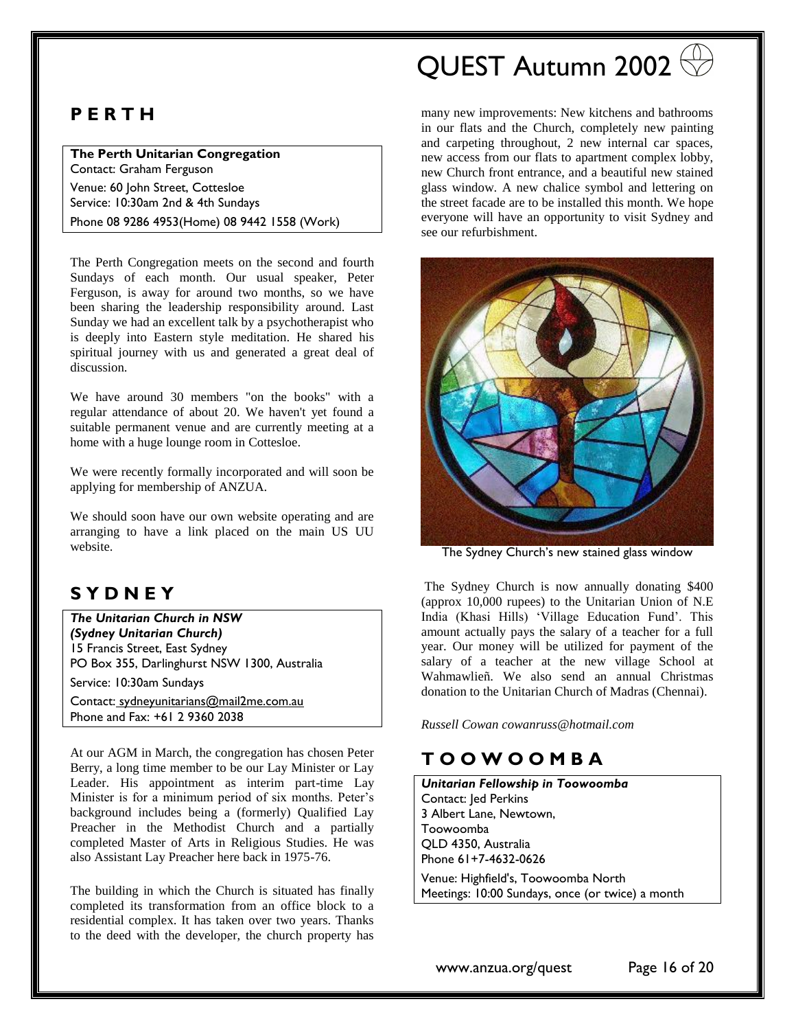## **P E R T H**

**The Perth Unitarian Congregation** Contact: Graham Ferguson

Venue: 60 John Street, Cottesloe Service: 10:30am 2nd & 4th Sundays Phone 08 9286 4953(Home) 08 9442 1558 (Work)

The Perth Congregation meets on the second and fourth Sundays of each month. Our usual speaker, Peter Ferguson, is away for around two months, so we have been sharing the leadership responsibility around. Last Sunday we had an excellent talk by a psychotherapist who is deeply into Eastern style meditation. He shared his spiritual journey with us and generated a great deal of discussion.

We have around 30 members "on the books" with a regular attendance of about 20. We haven't yet found a suitable permanent venue and are currently meeting at a home with a huge lounge room in Cottesloe.

We were recently formally incorporated and will soon be applying for membership of ANZUA.

We should soon have our own website operating and are arranging to have a link placed on the main US UU website.

## **S Y D N E Y**

*The Unitarian Church in NSW (Sydney Unitarian Church)* 15 Francis Street, East Sydney PO Box 355, Darlinghurst NSW 1300, Australia

Service: 10:30am Sundays

Contact: sydneyunitarians@mail2me.com.au Phone and Fax: +61 2 9360 2038

At our AGM in March, the congregation has chosen Peter Berry, a long time member to be our Lay Minister or Lay Leader. His appointment as interim part-time Lay Minister is for a minimum period of six months. Peter's background includes being a (formerly) Qualified Lay Preacher in the Methodist Church and a partially completed Master of Arts in Religious Studies. He was also Assistant Lay Preacher here back in 1975-76.

The building in which the Church is situated has finally completed its transformation from an office block to a residential complex. It has taken over two years. Thanks to the deed with the developer, the church property has

# QUEST Autumn 2002

many new improvements: New kitchens and bathrooms in our flats and the Church, completely new painting and carpeting throughout, 2 new internal car spaces, new access from our flats to apartment complex lobby, new Church front entrance, and a beautiful new stained glass window. A new chalice symbol and lettering on the street facade are to be installed this month. We hope everyone will have an opportunity to visit Sydney and see our refurbishment.



The Sydney Church's new stained glass window

The Sydney Church is now annually donating \$400 (approx 10,000 rupees) to the Unitarian Union of N.E India (Khasi Hills) 'Village Education Fund'. This amount actually pays the salary of a teacher for a full year. Our money will be utilized for payment of the salary of a teacher at the new village School at Wahmawlieñ. We also send an annual Christmas donation to the Unitarian Church of Madras (Chennai).

*Russell Cowan cowanruss@hotmail.com* 

## **T O O W O O M B A**

*Unitarian Fellowship in Toowoomba* Contact: Jed Perkins 3 Albert Lane, Newtown, Toowoomba QLD 4350, Australia Phone 61+7-4632-0626

Venue: Highfield's, Toowoomba North Meetings: 10:00 Sundays, once (or twice) a month

www.anzua.org/quest Page 16 of 20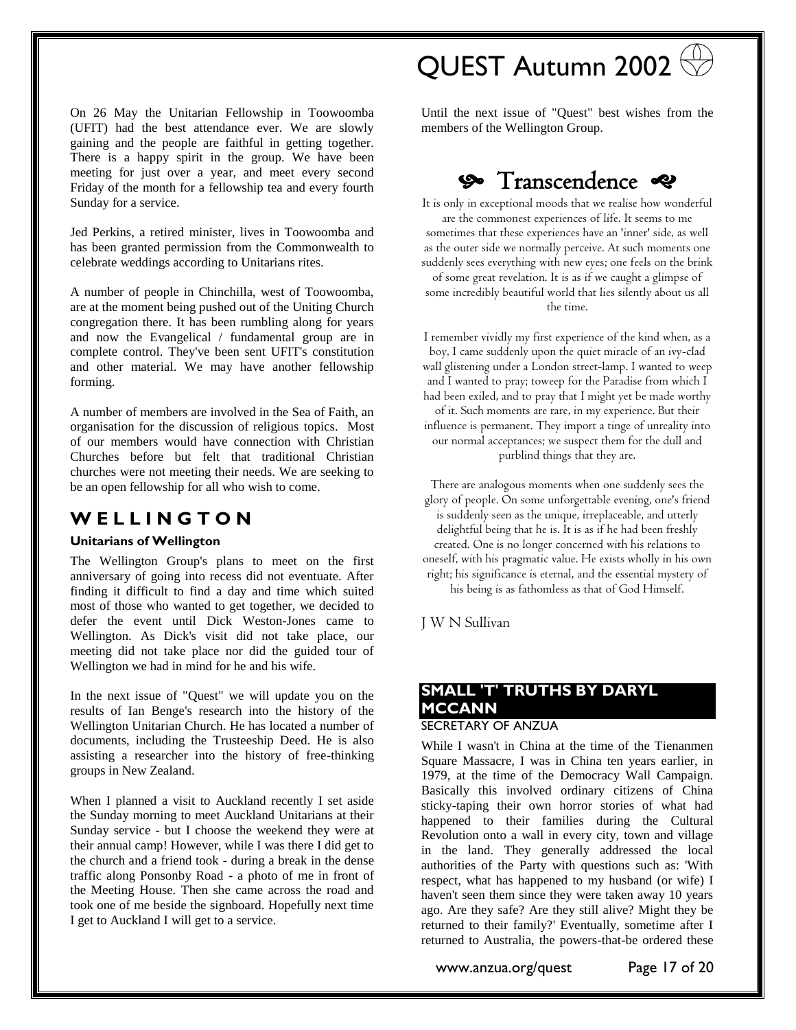On 26 May the Unitarian Fellowship in Toowoomba (UFIT) had the best attendance ever. We are slowly gaining and the people are faithful in getting together. There is a happy spirit in the group. We have been meeting for just over a year, and meet every second Friday of the month for a fellowship tea and every fourth Sunday for a service.

Jed Perkins, a retired minister, lives in Toowoomba and has been granted permission from the Commonwealth to celebrate weddings according to Unitarians rites.

A number of people in Chinchilla, west of Toowoomba, are at the moment being pushed out of the Uniting Church congregation there. It has been rumbling along for years and now the Evangelical / fundamental group are in complete control. They've been sent UFIT's constitution and other material. We may have another fellowship forming.

A number of members are involved in the Sea of Faith, an organisation for the discussion of religious topics. Most of our members would have connection with Christian Churches before but felt that traditional Christian churches were not meeting their needs. We are seeking to be an open fellowship for all who wish to come.

### **W E L L I N G T O N**

#### **Unitarians of Wellington**

The Wellington Group's plans to meet on the first anniversary of going into recess did not eventuate. After finding it difficult to find a day and time which suited most of those who wanted to get together, we decided to defer the event until Dick Weston-Jones came to Wellington. As Dick's visit did not take place, our meeting did not take place nor did the guided tour of Wellington we had in mind for he and his wife.

In the next issue of "Quest" we will update you on the results of Ian Benge's research into the history of the Wellington Unitarian Church. He has located a number of documents, including the Trusteeship Deed. He is also assisting a researcher into the history of free-thinking groups in New Zealand.

When I planned a visit to Auckland recently I set aside the Sunday morning to meet Auckland Unitarians at their Sunday service - but I choose the weekend they were at their annual camp! However, while I was there I did get to the church and a friend took - during a break in the dense traffic along Ponsonby Road - a photo of me in front of the Meeting House. Then she came across the road and took one of me beside the signboard. Hopefully next time I get to Auckland I will get to a service.

# QUEST Autumn 2002

Until the next issue of "Quest" best wishes from the members of the Wellington Group.

## **So** Transcendence &

It is only in exceptional moods that we realise how wonderful are the commonest experiences of life. It seems to me sometimes that these experiences have an 'inner' side, as well as the outer side we normally perceive. At such moments one suddenly sees everything with new eyes; one feels on the brink of some great revelation. It is as if we caught a glimpse of some incredibly beautiful world that lies silently about us all the time.

I remember vividly my first experience of the kind when, as a boy, I came suddenly upon the quiet miracle of an ivy-clad wall glistening under a London street-lamp. I wanted to weep and I wanted to pray; toweep for the Paradise from which I had been exiled, and to pray that I might yet be made worthy of it. Such moments are rare, in my experience. But their influence is permanent. They import a tinge of unreality into our normal acceptances; we suspect them for the dull and purblind things that they are.

There are analogous moments when one suddenly sees the glory of people. On some unforgettable evening, one's friend is suddenly seen as the unique, irreplaceable, and utterly delightful being that he is. It is as if he had been freshly created. One is no longer concerned with his relations to oneself, with his pragmatic value. He exists wholly in his own right; his significance is eternal, and the essential mystery of his being is as fathomless as that of God Himself.

J W N Sullivan

### <span id="page-16-0"></span>**SMALL 'T' TRUTHS BY DARYL MCCANN** SECRETARY OF ANZUA

While I wasn't in China at the time of the Tienanmen Square Massacre, I was in China ten years earlier, in 1979, at the time of the Democracy Wall Campaign. Basically this involved ordinary citizens of China sticky-taping their own horror stories of what had happened to their families during the Cultural Revolution onto a wall in every city, town and village in the land. They generally addressed the local authorities of the Party with questions such as: 'With respect, what has happened to my husband (or wife) I haven't seen them since they were taken away 10 years ago. Are they safe? Are they still alive? Might they be returned to their family?' Eventually, sometime after I returned to Australia, the powers-that-be ordered these

www.anzua.org/quest Page 17 of 20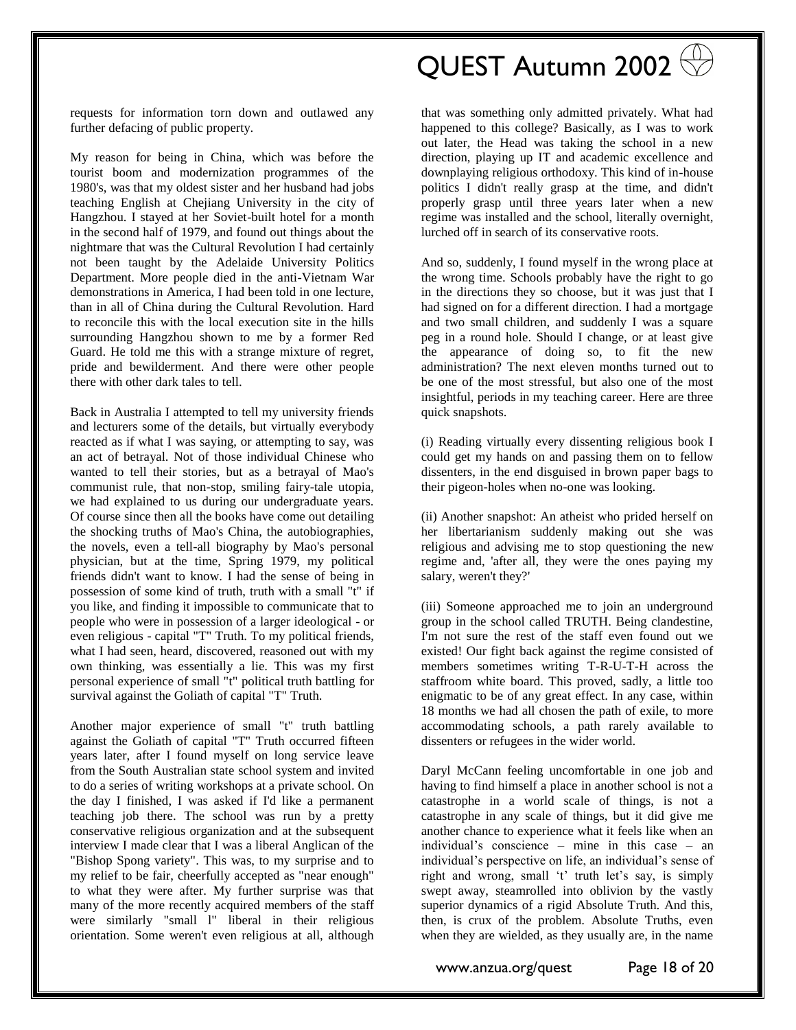QUEST Autumn 2002

requests for information torn down and outlawed any further defacing of public property.

My reason for being in China, which was before the tourist boom and modernization programmes of the 1980's, was that my oldest sister and her husband had jobs teaching English at Chejiang University in the city of Hangzhou. I stayed at her Soviet-built hotel for a month in the second half of 1979, and found out things about the nightmare that was the Cultural Revolution I had certainly not been taught by the Adelaide University Politics Department. More people died in the anti-Vietnam War demonstrations in America, I had been told in one lecture, than in all of China during the Cultural Revolution. Hard to reconcile this with the local execution site in the hills surrounding Hangzhou shown to me by a former Red Guard. He told me this with a strange mixture of regret, pride and bewilderment. And there were other people there with other dark tales to tell.

Back in Australia I attempted to tell my university friends and lecturers some of the details, but virtually everybody reacted as if what I was saying, or attempting to say, was an act of betrayal. Not of those individual Chinese who wanted to tell their stories, but as a betrayal of Mao's communist rule, that non-stop, smiling fairy-tale utopia, we had explained to us during our undergraduate years. Of course since then all the books have come out detailing the shocking truths of Mao's China, the autobiographies, the novels, even a tell-all biography by Mao's personal physician, but at the time, Spring 1979, my political friends didn't want to know. I had the sense of being in possession of some kind of truth, truth with a small "t" if you like, and finding it impossible to communicate that to people who were in possession of a larger ideological - or even religious - capital "T" Truth. To my political friends, what I had seen, heard, discovered, reasoned out with my own thinking, was essentially a lie. This was my first personal experience of small "t" political truth battling for survival against the Goliath of capital "T" Truth.

Another major experience of small "t" truth battling against the Goliath of capital "T" Truth occurred fifteen years later, after I found myself on long service leave from the South Australian state school system and invited to do a series of writing workshops at a private school. On the day I finished, I was asked if I'd like a permanent teaching job there. The school was run by a pretty conservative religious organization and at the subsequent interview I made clear that I was a liberal Anglican of the "Bishop Spong variety". This was, to my surprise and to my relief to be fair, cheerfully accepted as "near enough" to what they were after. My further surprise was that many of the more recently acquired members of the staff were similarly "small l" liberal in their religious orientation. Some weren't even religious at all, although

that was something only admitted privately. What had happened to this college? Basically, as I was to work out later, the Head was taking the school in a new direction, playing up IT and academic excellence and downplaying religious orthodoxy. This kind of in-house politics I didn't really grasp at the time, and didn't properly grasp until three years later when a new regime was installed and the school, literally overnight, lurched off in search of its conservative roots.

And so, suddenly, I found myself in the wrong place at the wrong time. Schools probably have the right to go in the directions they so choose, but it was just that I had signed on for a different direction. I had a mortgage and two small children, and suddenly I was a square peg in a round hole. Should I change, or at least give the appearance of doing so, to fit the new administration? The next eleven months turned out to be one of the most stressful, but also one of the most insightful, periods in my teaching career. Here are three quick snapshots.

(i) Reading virtually every dissenting religious book I could get my hands on and passing them on to fellow dissenters, in the end disguised in brown paper bags to their pigeon-holes when no-one was looking.

(ii) Another snapshot: An atheist who prided herself on her libertarianism suddenly making out she was religious and advising me to stop questioning the new regime and, 'after all, they were the ones paying my salary, weren't they?'

(iii) Someone approached me to join an underground group in the school called TRUTH. Being clandestine, I'm not sure the rest of the staff even found out we existed! Our fight back against the regime consisted of members sometimes writing T-R-U-T-H across the staffroom white board. This proved, sadly, a little too enigmatic to be of any great effect. In any case, within 18 months we had all chosen the path of exile, to more accommodating schools, a path rarely available to dissenters or refugees in the wider world.

Daryl McCann feeling uncomfortable in one job and having to find himself a place in another school is not a catastrophe in a world scale of things, is not a catastrophe in any scale of things, but it did give me another chance to experience what it feels like when an individual's conscience – mine in this case – an individual's perspective on life, an individual's sense of right and wrong, small 't' truth let's say, is simply swept away, steamrolled into oblivion by the vastly superior dynamics of a rigid Absolute Truth. And this, then, is crux of the problem. Absolute Truths, even when they are wielded, as they usually are, in the name

www.anzua.org/quest Page 18 of 20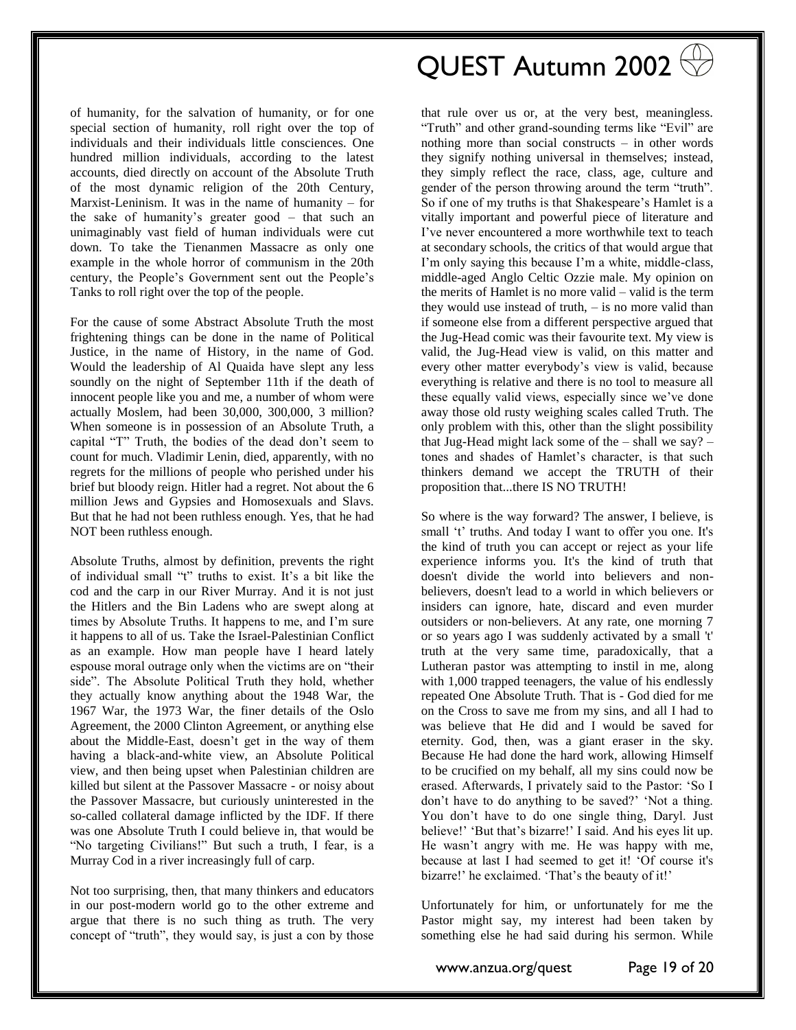of humanity, for the salvation of humanity, or for one special section of humanity, roll right over the top of individuals and their individuals little consciences. One hundred million individuals, according to the latest accounts, died directly on account of the Absolute Truth of the most dynamic religion of the 20th Century, Marxist-Leninism. It was in the name of humanity – for the sake of humanity's greater good – that such an unimaginably vast field of human individuals were cut down. To take the Tienanmen Massacre as only one example in the whole horror of communism in the 20th century, the People's Government sent out the People's Tanks to roll right over the top of the people.

For the cause of some Abstract Absolute Truth the most frightening things can be done in the name of Political Justice, in the name of History, in the name of God. Would the leadership of Al Quaida have slept any less soundly on the night of September 11th if the death of innocent people like you and me, a number of whom were actually Moslem, had been 30,000, 300,000, 3 million? When someone is in possession of an Absolute Truth, a capital "T" Truth, the bodies of the dead don't seem to count for much. Vladimir Lenin, died, apparently, with no regrets for the millions of people who perished under his brief but bloody reign. Hitler had a regret. Not about the 6 million Jews and Gypsies and Homosexuals and Slavs. But that he had not been ruthless enough. Yes, that he had NOT been ruthless enough.

Absolute Truths, almost by definition, prevents the right of individual small "t" truths to exist. It's a bit like the cod and the carp in our River Murray. And it is not just the Hitlers and the Bin Ladens who are swept along at times by Absolute Truths. It happens to me, and I'm sure it happens to all of us. Take the Israel-Palestinian Conflict as an example. How man people have I heard lately espouse moral outrage only when the victims are on "their side". The Absolute Political Truth they hold, whether they actually know anything about the 1948 War, the 1967 War, the 1973 War, the finer details of the Oslo Agreement, the 2000 Clinton Agreement, or anything else about the Middle-East, doesn't get in the way of them having a black-and-white view, an Absolute Political view, and then being upset when Palestinian children are killed but silent at the Passover Massacre - or noisy about the Passover Massacre, but curiously uninterested in the so-called collateral damage inflicted by the IDF. If there was one Absolute Truth I could believe in, that would be "No targeting Civilians!" But such a truth, I fear, is a Murray Cod in a river increasingly full of carp.

Not too surprising, then, that many thinkers and educators in our post-modern world go to the other extreme and argue that there is no such thing as truth. The very concept of "truth", they would say, is just a con by those

QUEST Autumn 2002

that rule over us or, at the very best, meaningless. "Truth" and other grand-sounding terms like "Evil" are nothing more than social constructs – in other words they signify nothing universal in themselves; instead, they simply reflect the race, class, age, culture and gender of the person throwing around the term "truth". So if one of my truths is that Shakespeare's Hamlet is a vitally important and powerful piece of literature and I've never encountered a more worthwhile text to teach at secondary schools, the critics of that would argue that I'm only saying this because I'm a white, middle-class, middle-aged Anglo Celtic Ozzie male. My opinion on the merits of Hamlet is no more valid – valid is the term they would use instead of truth, – is no more valid than if someone else from a different perspective argued that the Jug-Head comic was their favourite text. My view is valid, the Jug-Head view is valid, on this matter and every other matter everybody's view is valid, because everything is relative and there is no tool to measure all these equally valid views, especially since we've done away those old rusty weighing scales called Truth. The only problem with this, other than the slight possibility that Jug-Head might lack some of the  $-$  shall we say?  $$ tones and shades of Hamlet's character, is that such thinkers demand we accept the TRUTH of their proposition that...there IS NO TRUTH!

So where is the way forward? The answer, I believe, is small 't' truths. And today I want to offer you one. It's the kind of truth you can accept or reject as your life experience informs you. It's the kind of truth that doesn't divide the world into believers and nonbelievers, doesn't lead to a world in which believers or insiders can ignore, hate, discard and even murder outsiders or non-believers. At any rate, one morning 7 or so years ago I was suddenly activated by a small 't' truth at the very same time, paradoxically, that a Lutheran pastor was attempting to instil in me, along with 1,000 trapped teenagers, the value of his endlessly repeated One Absolute Truth. That is - God died for me on the Cross to save me from my sins, and all I had to was believe that He did and I would be saved for eternity. God, then, was a giant eraser in the sky. Because He had done the hard work, allowing Himself to be crucified on my behalf, all my sins could now be erased. Afterwards, I privately said to the Pastor: 'So I don't have to do anything to be saved?' 'Not a thing. You don't have to do one single thing, Daryl. Just believe!' 'But that's bizarre!' I said. And his eyes lit up. He wasn't angry with me. He was happy with me, because at last I had seemed to get it! 'Of course it's bizarre!' he exclaimed. 'That's the beauty of it!'

Unfortunately for him, or unfortunately for me the Pastor might say, my interest had been taken by something else he had said during his sermon. While

www.anzua.org/quest Page 19 of 20